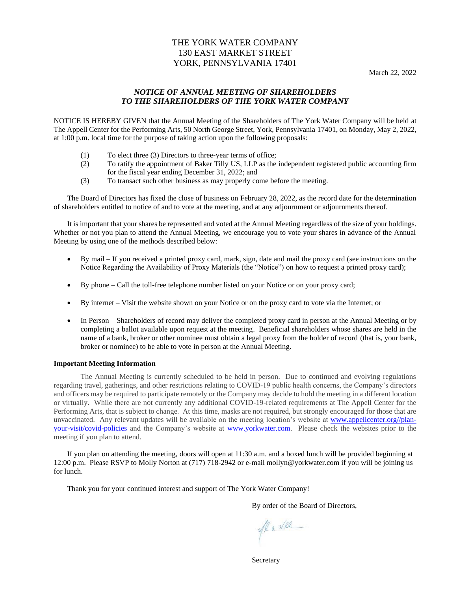# THE YORK WATER COMPANY 130 EAST MARKET STREET YORK, PENNSYLVANIA 17401

# *NOTICE OF ANNUAL MEETING OF SHAREHOLDERS TO THE SHAREHOLDERS OF THE YORK WATER COMPANY*

NOTICE IS HEREBY GIVEN that the Annual Meeting of the Shareholders of The York Water Company will be held at The Appell Center for the Performing Arts, 50 North George Street, York, Pennsylvania 17401, on Monday, May 2, 2022, at 1:00 p.m. local time for the purpose of taking action upon the following proposals:

- (1) To elect three (3) Directors to three-year terms of office;
- (2) To ratify the appointment of Baker Tilly US, LLP as the independent registered public accounting firm for the fiscal year ending December 31, 2022; and
- (3) To transact such other business as may properly come before the meeting.

The Board of Directors has fixed the close of business on February 28, 2022, as the record date for the determination of shareholders entitled to notice of and to vote at the meeting, and at any adjournment or adjournments thereof.

It is important that your shares be represented and voted at the Annual Meeting regardless of the size of your holdings. Whether or not you plan to attend the Annual Meeting, we encourage you to vote your shares in advance of the Annual Meeting by using one of the methods described below:

- By mail If you received a printed proxy card, mark, sign, date and mail the proxy card (see instructions on the Notice Regarding the Availability of Proxy Materials (the "Notice") on how to request a printed proxy card);
- By phone Call the toll-free telephone number listed on your Notice or on your proxy card;
- By internet Visit the website shown on your Notice or on the proxy card to vote via the Internet; or
- In Person Shareholders of record may deliver the completed proxy card in person at the Annual Meeting or by completing a ballot available upon request at the meeting. Beneficial shareholders whose shares are held in the name of a bank, broker or other nominee must obtain a legal proxy from the holder of record (that is, your bank, broker or nominee) to be able to vote in person at the Annual Meeting.

# **Important Meeting Information**

The Annual Meeting is currently scheduled to be held in person. Due to continued and evolving regulations regarding travel, gatherings, and other restrictions relating to COVID-19 public health concerns, the Company's directors and officers may be required to participate remotely or the Company may decide to hold the meeting in a different location or virtually. While there are not currently any additional COVID-19-related requirements at The Appell Center for the Performing Arts, that is subject to change. At this time, masks are not required, but strongly encouraged for those that are unvaccinated. Any relevant updates will be available on the meeting location's website at [www.appellcenter.org//plan](http://www.appellcenter.org/plan-your-visit/covid-policies)[your-visit/covid-policies](http://www.appellcenter.org/plan-your-visit/covid-policies) and the Company's website at [www.yorkwater.com.](http://www.yorkwater.com/) Please check the websites prior to the meeting if you plan to attend.

If you plan on attending the meeting, doors will open at 11:30 a.m. and a boxed lunch will be provided beginning at 12:00 p.m. Please RSVP to Molly Norton at (717) 718-2942 or e-mail mollyn@yorkwater.com if you will be joining us for lunch.

Thank you for your continued interest and support of The York Water Company!

By order of the Board of Directors,

Marke

**Secretary**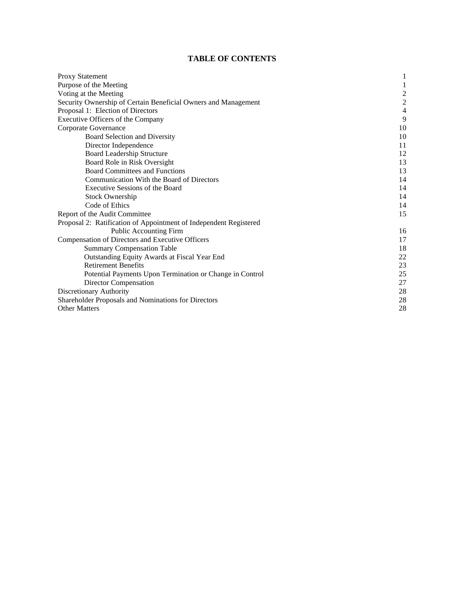# **TABLE OF CONTENTS**

| <b>Proxy Statement</b>                                            |                         |
|-------------------------------------------------------------------|-------------------------|
| Purpose of the Meeting                                            | 1                       |
| Voting at the Meeting                                             | $\overline{\mathbf{c}}$ |
| Security Ownership of Certain Beneficial Owners and Management    | $\overline{c}$          |
| Proposal 1: Election of Directors                                 | $\overline{4}$          |
| Executive Officers of the Company                                 | 9                       |
| Corporate Governance                                              | 10                      |
| Board Selection and Diversity                                     | 10                      |
| Director Independence                                             | 11                      |
| <b>Board Leadership Structure</b>                                 | 12                      |
| Board Role in Risk Oversight                                      | 13                      |
| <b>Board Committees and Functions</b>                             | 13                      |
| Communication With the Board of Directors                         | 14                      |
| Executive Sessions of the Board                                   | 14                      |
| <b>Stock Ownership</b>                                            | 14                      |
| Code of Ethics                                                    | 14                      |
| Report of the Audit Committee                                     | 15                      |
| Proposal 2: Ratification of Appointment of Independent Registered |                         |
| <b>Public Accounting Firm</b>                                     | 16                      |
| Compensation of Directors and Executive Officers                  | 17                      |
| <b>Summary Compensation Table</b>                                 | 18                      |
| Outstanding Equity Awards at Fiscal Year End                      | 22                      |
| <b>Retirement Benefits</b>                                        | 23                      |
| Potential Payments Upon Termination or Change in Control          | 25                      |
| Director Compensation                                             | 27                      |
| Discretionary Authority                                           | 28                      |
| Shareholder Proposals and Nominations for Directors               | 28                      |
| <b>Other Matters</b>                                              | 28                      |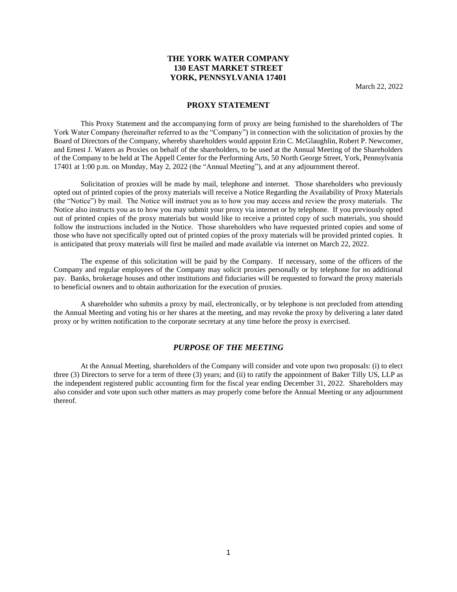# **THE YORK WATER COMPANY 130 EAST MARKET STREET YORK, PENNSYLVANIA 17401**

March 22, 2022

# **PROXY STATEMENT**

This Proxy Statement and the accompanying form of proxy are being furnished to the shareholders of The York Water Company (hereinafter referred to as the "Company") in connection with the solicitation of proxies by the Board of Directors of the Company, whereby shareholders would appoint Erin C. McGlaughlin, Robert P. Newcomer, and Ernest J. Waters as Proxies on behalf of the shareholders, to be used at the Annual Meeting of the Shareholders of the Company to be held at The Appell Center for the Performing Arts, 50 North George Street, York, Pennsylvania 17401 at 1:00 p.m. on Monday, May 2, 2022 (the "Annual Meeting"), and at any adjournment thereof.

Solicitation of proxies will be made by mail, telephone and internet. Those shareholders who previously opted out of printed copies of the proxy materials will receive a Notice Regarding the Availability of Proxy Materials (the "Notice") by mail. The Notice will instruct you as to how you may access and review the proxy materials. The Notice also instructs you as to how you may submit your proxy via internet or by telephone. If you previously opted out of printed copies of the proxy materials but would like to receive a printed copy of such materials, you should follow the instructions included in the Notice. Those shareholders who have requested printed copies and some of those who have not specifically opted out of printed copies of the proxy materials will be provided printed copies. It is anticipated that proxy materials will first be mailed and made available via internet on March 22, 2022.

The expense of this solicitation will be paid by the Company. If necessary, some of the officers of the Company and regular employees of the Company may solicit proxies personally or by telephone for no additional pay. Banks, brokerage houses and other institutions and fiduciaries will be requested to forward the proxy materials to beneficial owners and to obtain authorization for the execution of proxies.

A shareholder who submits a proxy by mail, electronically, or by telephone is not precluded from attending the Annual Meeting and voting his or her shares at the meeting, and may revoke the proxy by delivering a later dated proxy or by written notification to the corporate secretary at any time before the proxy is exercised.

## *PURPOSE OF THE MEETING*

At the Annual Meeting, shareholders of the Company will consider and vote upon two proposals: (i) to elect three (3) Directors to serve for a term of three (3) years; and (ii) to ratify the appointment of Baker Tilly US, LLP as the independent registered public accounting firm for the fiscal year ending December 31, 2022. Shareholders may also consider and vote upon such other matters as may properly come before the Annual Meeting or any adjournment thereof.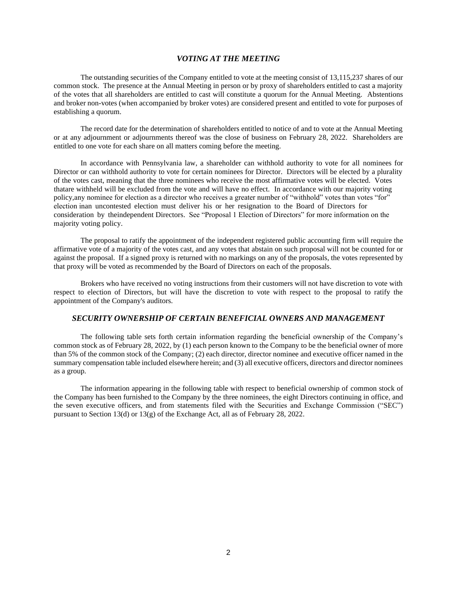## *VOTING AT THE MEETING*

 of the votes that all shareholders are entitled to cast will constitute a quorum for the Annual Meeting. Abstentions The outstanding securities of the Company entitled to vote at the meeting consist of 13,115,237 shares of our common stock. The presence at the Annual Meeting in person or by proxy of shareholders entitled to cast a majority and broker non-votes (when accompanied by broker votes) are considered present and entitled to vote for purposes of establishing a quorum.

The record date for the determination of shareholders entitled to notice of and to vote at the Annual Meeting or at any adjournment or adjournments thereof was the close of business on February 28, 2022. Shareholders are entitled to one vote for each share on all matters coming before the meeting.

 thatare withheld will be excluded from the vote and will have no effect. In accordance with our majority voting In accordance with Pennsylvania law, a shareholder can withhold authority to vote for all nominees for Director or can withhold authority to vote for certain nominees for Director. Directors will be elected by a plurality of the votes cast, meaning that the three nominees who receive the most affirmative votes will be elected. Votes policy,any nominee for election as a director who receives a greater number of "withhold" votes than votes "for" election inan uncontested election must deliver his or her resignation to the Board of Directors for consideration by theindependent Directors. See "Proposal 1 Election of Directors" for more information on the majority voting policy.

The proposal to ratify the appointment of the independent registered public accounting firm will require the affirmative vote of a majority of the votes cast, and any votes that abstain on such proposal will not be counted for or against the proposal. If a signed proxy is returned with no markings on any of the proposals, the votes represented by that proxy will be voted as recommended by the Board of Directors on each of the proposals.

Brokers who have received no voting instructions from their customers will not have discretion to vote with respect to election of Directors, but will have the discretion to vote with respect to the proposal to ratify the appointment of the Company's auditors.

# *SECURITY OWNERSHIP OF CERTAIN BENEFICIAL OWNERS AND MANAGEMENT*

The following table sets forth certain information regarding the beneficial ownership of the Company's common stock as of February 28, 2022, by (1) each person known to the Company to be the beneficial owner of more than 5% of the common stock of the Company; (2) each director, director nominee and executive officer named in the summary compensation table included elsewhere herein; and (3) all executive officers, directors and director nominees as a group.

The information appearing in the following table with respect to beneficial ownership of common stock of the Company has been furnished to the Company by the three nominees, the eight Directors continuing in office, and the seven executive officers, and from statements filed with the Securities and Exchange Commission ("SEC") pursuant to Section 13(d) or 13(g) of the Exchange Act, all as of February 28, 2022.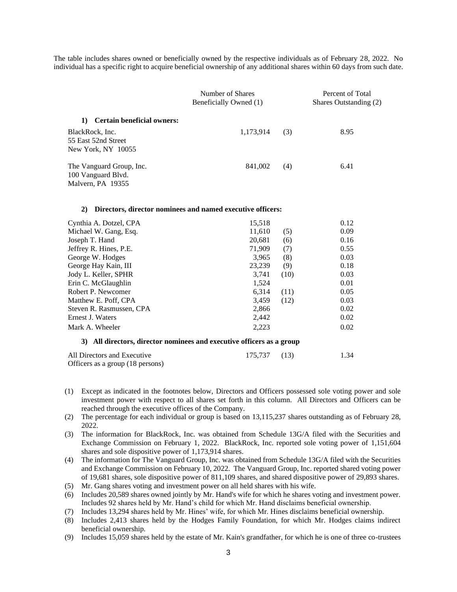The table includes shares owned or beneficially owned by the respective individuals as of February 28, 2022. No individual has a specific right to acquire beneficial ownership of any additional shares within 60 days from such date.

|                                                                     | Number of Shares<br>Beneficially Owned (1) | Percent of Total<br>Shares Outstanding (2) |      |
|---------------------------------------------------------------------|--------------------------------------------|--------------------------------------------|------|
| <b>Certain beneficial owners:</b><br>1)                             |                                            |                                            |      |
| BlackRock, Inc.<br>55 East 52nd Street<br>New York, NY 10055        | 1,173,914                                  | (3)                                        | 8.95 |
| The Vanguard Group, Inc.<br>100 Vanguard Blvd.<br>Malvern, PA 19355 | 841,002                                    | (4)                                        | 6.41 |

#### **2) Directors, director nominees and named executive officers:**

| Cynthia A. Dotzel, CPA                                                  | 15,518 |      | 0.12 |
|-------------------------------------------------------------------------|--------|------|------|
| Michael W. Gang, Esq.                                                   | 11.610 | (5)  | 0.09 |
| Joseph T. Hand                                                          | 20.681 | (6)  | 0.16 |
| Jeffrey R. Hines, P.E.                                                  | 71,909 | (7)  | 0.55 |
| George W. Hodges                                                        | 3,965  | (8)  | 0.03 |
| George Hay Kain, III                                                    | 23,239 | (9)  | 0.18 |
| Jody L. Keller, SPHR                                                    | 3.741  | (10) | 0.03 |
| Erin C. McGlaughlin                                                     | 1,524  |      | 0.01 |
| Robert P. Newcomer                                                      | 6.314  | (11) | 0.05 |
| Matthew E. Poff, CPA                                                    | 3,459  | (12) | 0.03 |
| Steven R. Rasmussen, CPA                                                | 2,866  |      | 0.02 |
| Ernest J. Waters                                                        | 2,442  |      | 0.02 |
| Mark A. Wheeler                                                         | 2.223  |      | 0.02 |
| $2)$ All diverters diverter nominees and executive efficers as a system |        |      |      |

#### **3) All directors, director nominees and executive officers as a group**

| All Directors and Executive      | 175,737 (13) | 1.34 |
|----------------------------------|--------------|------|
| Officers as a group (18 persons) |              |      |

- (1) Except as indicated in the footnotes below, Directors and Officers possessed sole voting power and sole investment power with respect to all shares set forth in this column. All Directors and Officers can be reached through the executive offices of the Company.
- (2) The percentage for each individual or group is based on 13,115,237 shares outstanding as of February 28, 2022.
- (3) The information for BlackRock, Inc. was obtained from Schedule 13G/A filed with the Securities and Exchange Commission on February 1, 2022. BlackRock, Inc. reported sole voting power of 1,151,604 shares and sole dispositive power of 1,173,914 shares.
- (4) The information for The Vanguard Group, Inc. was obtained from Schedule 13G/A filed with the Securities and Exchange Commission on February 10, 2022. The Vanguard Group, Inc. reported shared voting power of 19,681 shares, sole dispositive power of 811,109 shares, and shared dispositive power of 29,893 shares.
- (5) Mr. Gang shares voting and investment power on all held shares with his wife.
- (6) Includes 20,589 shares owned jointly by Mr. Hand's wife for which he shares voting and investment power. Includes 92 shares held by Mr. Hand's child for which Mr. Hand disclaims beneficial ownership.
- (7) Includes 13,294 shares held by Mr. Hines' wife, for which Mr. Hines disclaims beneficial ownership.
- (8) Includes 2,413 shares held by the Hodges Family Foundation, for which Mr. Hodges claims indirect beneficial ownership.
- (9) Includes 15,059 shares held by the estate of Mr. Kain's grandfather, for which he is one of three co-trustees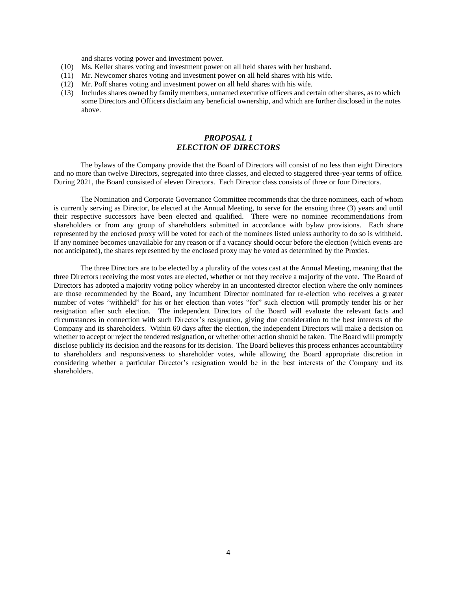and shares voting power and investment power.

- (10) Ms. Keller shares voting and investment power on all held shares with her husband.
- (11) Mr. Newcomer shares voting and investment power on all held shares with his wife.
- (12) Mr. Poff shares voting and investment power on all held shares with his wife.
- (13) Includes shares owned by family members, unnamed executive officers and certain other shares, as to which some Directors and Officers disclaim any beneficial ownership, and which are further disclosed in the notes above.

# *PROPOSAL 1 ELECTION OF DIRECTORS*

The bylaws of the Company provide that the Board of Directors will consist of no less than eight Directors and no more than twelve Directors, segregated into three classes, and elected to staggered three-year terms of office. During 2021, the Board consisted of eleven Directors. Each Director class consists of three or four Directors.

The Nomination and Corporate Governance Committee recommends that the three nominees, each of whom is currently serving as Director, be elected at the Annual Meeting, to serve for the ensuing three (3) years and until their respective successors have been elected and qualified. There were no nominee recommendations from shareholders or from any group of shareholders submitted in accordance with bylaw provisions. Each share represented by the enclosed proxy will be voted for each of the nominees listed unless authority to do so is withheld. If any nominee becomes unavailable for any reason or if a vacancy should occur before the election (which events are not anticipated), the shares represented by the enclosed proxy may be voted as determined by the Proxies.

The three Directors are to be elected by a plurality of the votes cast at the Annual Meeting, meaning that the three Directors receiving the most votes are elected, whether or not they receive a majority of the vote. The Board of Directors has adopted a majority voting policy whereby in an uncontested director election where the only nominees are those recommended by the Board, any incumbent Director nominated for re-election who receives a greater number of votes "withheld" for his or her election than votes "for" such election will promptly tender his or her resignation after such election. The independent Directors of the Board will evaluate the relevant facts and circumstances in connection with such Director's resignation, giving due consideration to the best interests of the Company and its shareholders. Within 60 days after the election, the independent Directors will make a decision on whether to accept or reject the tendered resignation, or whether other action should be taken. The Board will promptly disclose publicly its decision and the reasons for its decision. The Board believes this process enhances accountability to shareholders and responsiveness to shareholder votes, while allowing the Board appropriate discretion in considering whether a particular Director's resignation would be in the best interests of the Company and its shareholders.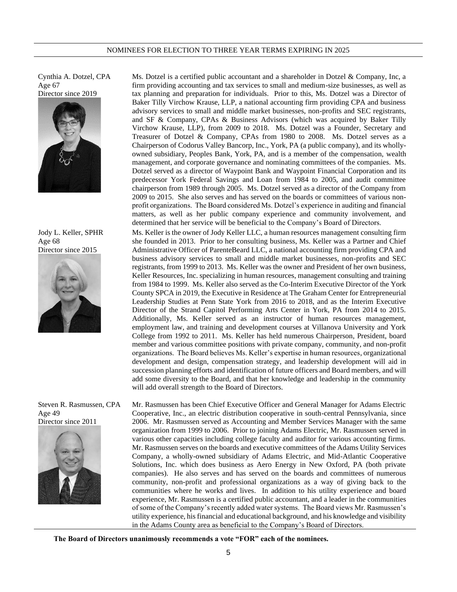Cynthia A. Dotzel, CPA Age 67 Director since 2019



Jody L. Keller, SPHR Age 68 Director since 2015



Steven R. Rasmussen, CPA Age 49 Director since 2011



Ms. Dotzel is a certified public accountant and a shareholder in Dotzel & Company, Inc, a firm providing accounting and tax services to small and medium-size businesses, as well as tax planning and preparation for individuals. Prior to this, Ms. Dotzel was a Director of Baker Tilly Virchow Krause, LLP, a national accounting firm providing CPA and business advisory services to small and middle market businesses, non-profits and SEC registrants, and SF & Company, CPAs & Business Advisors (which was acquired by Baker Tilly Virchow Krause, LLP), from 2009 to 2018. Ms. Dotzel was a Founder, Secretary and Treasurer of Dotzel & Company, CPAs from 1980 to 2008. Ms. Dotzel serves as a Chairperson of Codorus Valley Bancorp, Inc., York, PA (a public company), and its whollyowned subsidiary, Peoples Bank, York, PA, and is a member of the compensation, wealth management, and corporate governance and nominating committees of the companies. Ms. Dotzel served as a director of Waypoint Bank and Waypoint Financial Corporation and its predecessor York Federal Savings and Loan from 1984 to 2005, and audit committee chairperson from 1989 through 2005. Ms. Dotzel served as a director of the Company from 2009 to 2015. She also serves and has served on the boards or committees of various nonprofit organizations. The Board considered Ms. Dotzel's experience in auditing and financial matters, as well as her public company experience and community involvement, and determined that her service will be beneficial to the Company's Board of Directors.

Ms. Keller is the owner of Jody Keller LLC, a human resources management consulting firm she founded in 2013. Prior to her consulting business, Ms. Keller was a Partner and Chief Administrative Officer of ParenteBeard LLC, a national accounting firm providing CPA and business advisory services to small and middle market businesses, non-profits and SEC registrants, from 1999 to 2013. Ms. Keller was the owner and President of her own business, Keller Resources, Inc. specializing in human resources, management consulting and training from 1984 to 1999. Ms. Keller also served as the Co-Interim Executive Director of the York County SPCA in 2019, the Executive in Residence at The Graham Center for Entrepreneurial Leadership Studies at Penn State York from 2016 to 2018, and as the Interim Executive Director of the Strand Capitol Performing Arts Center in York, PA from 2014 to 2015. Additionally, Ms. Keller served as an instructor of human resources management, employment law, and training and development courses at Villanova University and York College from 1992 to 2011. Ms. Keller has held numerous Chairperson, President, board member and various committee positions with private company, community, and non-profit organizations. The Board believes Ms. Keller's expertise in human resources, organizational development and design, compensation strategy, and leadership development will aid in succession planning efforts and identification of future officers and Board members, and will add some diversity to the Board, and that her knowledge and leadership in the community will add overall strength to the Board of Directors.

Mr. Rasmussen has been Chief Executive Officer and General Manager for Adams Electric Cooperative, Inc., an electric distribution cooperative in south-central Pennsylvania, since 2006. Mr. Rasmussen served as Accounting and Member Services Manager with the same organization from 1999 to 2006. Prior to joining Adams Electric, Mr. Rasmussen served in various other capacities including college faculty and auditor for various accounting firms. Mr. Rasmussen serves on the boards and executive committees of the Adams Utility Services Company, a wholly-owned subsidiary of Adams Electric, and Mid-Atlantic Cooperative Solutions, Inc. which does business as Aero Energy in New Oxford, PA (both private companies). He also serves and has served on the boards and committees of numerous community, non-profit and professional organizations as a way of giving back to the communities where he works and lives. In addition to his utility experience and board experience, Mr. Rasmussen is a certified public accountant, and a leader in the communities of some of the Company's recently added water systems. The Board views Mr. Rasmussen's utility experience, his financial and educational background, and his knowledge and visibility in the Adams County area as beneficial to the Company's Board of Directors.

**The Board of Directors unanimously recommends a vote "FOR" each of the nominees.**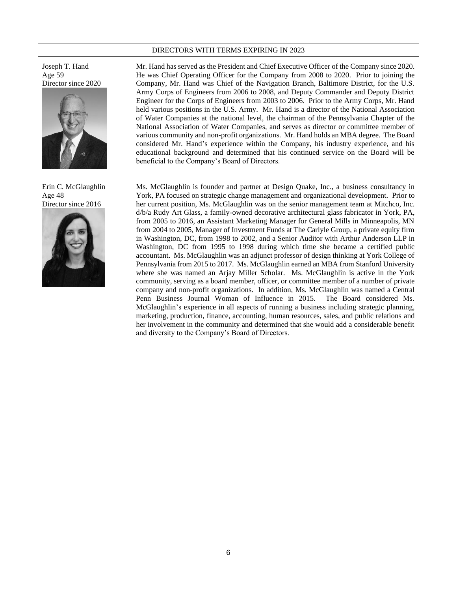#### DIRECTORS WITH TERMS EXPIRING IN 2023

Joseph T. Hand Age 59 Director since 2020



Erin C. McGlaughlin Age 48 Director since 2016



Mr. Hand has served as the President and Chief Executive Officer of the Company since 2020. He was Chief Operating Officer for the Company from 2008 to 2020. Prior to joining the Company, Mr. Hand was Chief of the Navigation Branch, Baltimore District, for the U.S. Army Corps of Engineers from 2006 to 2008, and Deputy Commander and Deputy District Engineer for the Corps of Engineers from 2003 to 2006. Prior to the Army Corps, Mr. Hand held various positions in the U.S. Army. Mr. Hand is a director of the National Association of Water Companies at the national level, the chairman of the Pennsylvania Chapter of the National Association of Water Companies, and serves as director or committee member of various community and non-profit organizations. Mr. Hand holds an MBA degree. The Board considered Mr. Hand's experience within the Company, his industry experience, and his educational background and determined that his continued service on the Board will be beneficial to the Company's Board of Directors.

Ms. McGlaughlin is founder and partner at Design Quake, Inc., a business consultancy in York, PA focused on strategic change management and organizational development. Prior to her current position, Ms. McGlaughlin was on the senior management team at Mitchco, Inc. d/b/a Rudy Art Glass, a family-owned decorative architectural glass fabricator in York, PA, from 2005 to 2016, an Assistant Marketing Manager for General Mills in Minneapolis, MN from 2004 to 2005, Manager of Investment Funds at The Carlyle Group, a private equity firm in Washington, DC, from 1998 to 2002, and a Senior Auditor with Arthur Anderson LLP in Washington, DC from 1995 to 1998 during which time she became a certified public accountant. Ms. McGlaughlin was an adjunct professor of design thinking at York College of Pennsylvania from 2015 to 2017. Ms. McGlaughlin earned an MBA from Stanford University where she was named an Arjay Miller Scholar. Ms. McGlaughlin is active in the York community, serving as a board member, officer, or committee member of a number of private company and non-profit organizations. In addition, Ms. McGlaughlin was named a Central Penn Business Journal Woman of Influence in 2015. The Board considered Ms. McGlaughlin's experience in all aspects of running a business including strategic planning, marketing, production, finance, accounting, human resources, sales, and public relations and her involvement in the community and determined that she would add a considerable benefit and diversity to the Company's Board of Directors.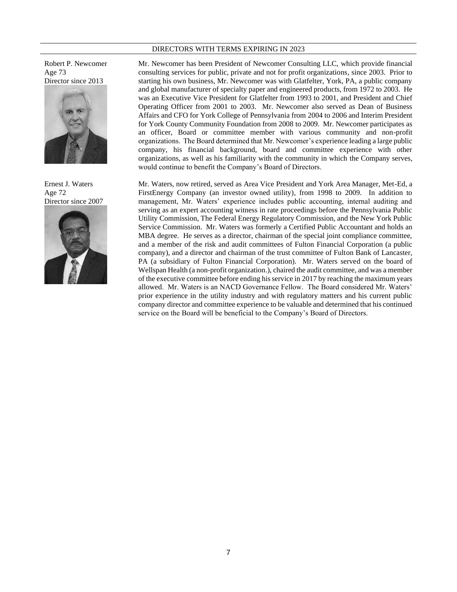#### DIRECTORS WITH TERMS EXPIRING IN 2023

Robert P. Newcomer Age 73 Director since 2013



Ernest J. Waters Age 72 Director since 2007



Mr. Newcomer has been President of Newcomer Consulting LLC, which provide financial consulting services for public, private and not for profit organizations, since 2003. Prior to starting his own business, Mr. Newcomer was with Glatfelter, York, PA, a public company and global manufacturer of specialty paper and engineered products, from 1972 to 2003. He was an Executive Vice President for Glatfelter from 1993 to 2001, and President and Chief Operating Officer from 2001 to 2003. Mr. Newcomer also served as Dean of Business Affairs and CFO for York College of Pennsylvania from 2004 to 2006 and Interim President for York County Community Foundation from 2008 to 2009. Mr. Newcomer participates as an officer, Board or committee member with various community and non-profit organizations. The Board determined that Mr. Newcomer's experience leading a large public company, his financial background, board and committee experience with other organizations, as well as his familiarity with the community in which the Company serves, would continue to benefit the Company's Board of Directors.

Mr. Waters, now retired, served as Area Vice President and York Area Manager, Met-Ed, a FirstEnergy Company (an investor owned utility), from 1998 to 2009. In addition to management, Mr. Waters' experience includes public accounting, internal auditing and serving as an expert accounting witness in rate proceedings before the Pennsylvania Public Utility Commission, The Federal Energy Regulatory Commission, and the New York Public Service Commission. Mr. Waters was formerly a Certified Public Accountant and holds an MBA degree. He serves as a director, chairman of the special joint compliance committee, and a member of the risk and audit committees of Fulton Financial Corporation (a public company), and a director and chairman of the trust committee of Fulton Bank of Lancaster, PA (a subsidiary of Fulton Financial Corporation). Mr. Waters served on the board of Wellspan Health (a non-profit organization.), chaired the audit committee, and was a member of the executive committee before ending his service in 2017 by reaching the maximum years allowed. Mr. Waters is an NACD Governance Fellow. The Board considered Mr. Waters' prior experience in the utility industry and with regulatory matters and his current public company director and committee experience to be valuable and determined that his continued service on the Board will be beneficial to the Company's Board of Directors.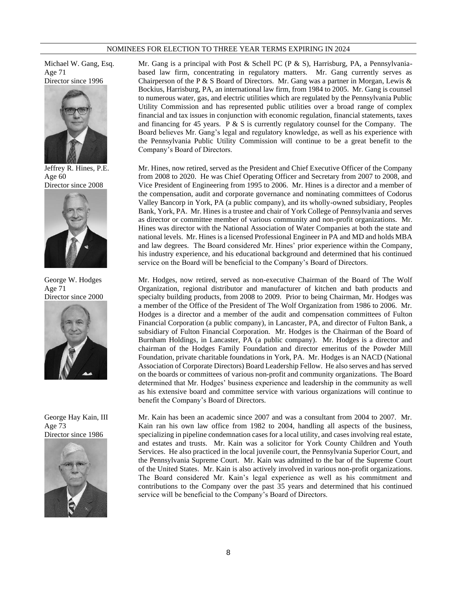#### NOMINEES FOR ELECTION TO THREE YEAR TERMS EXPIRING IN 2024

Michael W. Gang, Esq. Age 71



Jeffrey R. Hines, P.E. Age 60 Director since 2008



George W. Hodges Age 71 Director since 2000



George Hay Kain, III Age 73 Director since 1986



Mr. Gang is a principal with Post & Schell PC (P & S), Harrisburg, PA, a Pennsylvaniabased law firm, concentrating in regulatory matters. Mr. Gang currently serves as Chairperson of the P & S Board of Directors. Mr. Gang was a partner in Morgan, Lewis  $\&$ Bockius, Harrisburg, PA, an international law firm, from 1984 to 2005. Mr. Gang is counsel to numerous water, gas, and electric utilities which are regulated by the Pennsylvania Public Utility Commission and has represented public utilities over a broad range of complex financial and tax issues in conjunction with economic regulation, financial statements, taxes and financing for 45 years. P  $&$  S is currently regulatory counsel for the Company. The Board believes Mr. Gang's legal and regulatory knowledge, as well as his experience with the Pennsylvania Public Utility Commission will continue to be a great benefit to the Company's Board of Directors.

Mr. Hines, now retired, served as the President and Chief Executive Officer of the Company from 2008 to 2020. He was Chief Operating Officer and Secretary from 2007 to 2008, and Vice President of Engineering from 1995 to 2006. Mr. Hines is a director and a member of the compensation, audit and corporate governance and nominating committees of Codorus Valley Bancorp in York, PA (a public company), and its wholly-owned subsidiary, Peoples Bank, York, PA. Mr. Hines is a trustee and chair of York College of Pennsylvania and serves as director or committee member of various community and non-profit organizations. Mr. Hines was director with the National Association of Water Companies at both the state and national levels. Mr. Hines is a licensed Professional Engineer in PA and MD and holds MBA and law degrees. The Board considered Mr. Hines' prior experience within the Company, his industry experience, and his educational background and determined that his continued service on the Board will be beneficial to the Company's Board of Directors.

Mr. Hodges, now retired, served as non-executive Chairman of the Board of The Wolf Organization, regional distributor and manufacturer of kitchen and bath products and specialty building products, from 2008 to 2009. Prior to being Chairman, Mr. Hodges was a member of the Office of the President of The Wolf Organization from 1986 to 2006. Mr. Hodges is a director and a member of the audit and compensation committees of Fulton Financial Corporation (a public company), in Lancaster, PA, and director of Fulton Bank, a subsidiary of Fulton Financial Corporation. Mr. Hodges is the Chairman of the Board of Burnham Holdings, in Lancaster, PA (a public company). Mr. Hodges is a director and chairman of the Hodges Family Foundation and director emeritus of the Powder Mill Foundation, private charitable foundations in York, PA. Mr. Hodges is an NACD (National Association of Corporate Directors) Board Leadership Fellow. He also serves and has served on the boards or committees of various non-profit and community organizations. The Board determined that Mr. Hodges' business experience and leadership in the community as well as his extensive board and committee service with various organizations will continue to benefit the Company's Board of Directors.

Mr. Kain has been an academic since 2007 and was a consultant from 2004 to 2007. Mr. Kain ran his own law office from 1982 to 2004, handling all aspects of the business, specializing in pipeline condemnation cases for a local utility, and cases involving real estate, and estates and trusts. Mr. Kain was a solicitor for York County Children and Youth Services. He also practiced in the local juvenile court, the Pennsylvania Superior Court, and the Pennsylvania Supreme Court. Mr. Kain was admitted to the bar of the Supreme Court of the United States. Mr. Kain is also actively involved in various non-profit organizations. The Board considered Mr. Kain's legal experience as well as his commitment and contributions to the Company over the past 35 years and determined that his continued service will be beneficial to the Company's Board of Directors.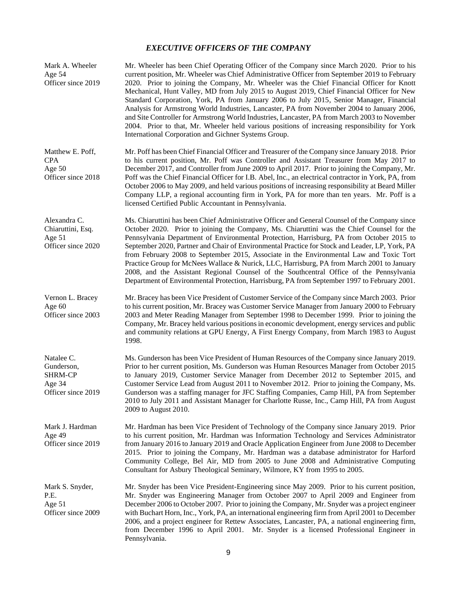# *EXECUTIVE OFFICERS OF THE COMPANY*

| Mark A. Wheeler<br>Age 54<br>Officer since 2019                            | Mr. Wheeler has been Chief Operating Officer of the Company since March 2020. Prior to his<br>current position, Mr. Wheeler was Chief Administrative Officer from September 2019 to February<br>2020. Prior to joining the Company, Mr. Wheeler was the Chief Financial Officer for Knott<br>Mechanical, Hunt Valley, MD from July 2015 to August 2019, Chief Financial Officer for New<br>Standard Corporation, York, PA from January 2006 to July 2015, Senior Manager, Financial<br>Analysis for Armstrong World Industries, Lancaster, PA from November 2004 to January 2006,<br>and Site Controller for Armstrong World Industries, Lancaster, PA from March 2003 to November<br>2004. Prior to that, Mr. Wheeler held various positions of increasing responsibility for York<br>International Corporation and Gichner Systems Group. |
|----------------------------------------------------------------------------|---------------------------------------------------------------------------------------------------------------------------------------------------------------------------------------------------------------------------------------------------------------------------------------------------------------------------------------------------------------------------------------------------------------------------------------------------------------------------------------------------------------------------------------------------------------------------------------------------------------------------------------------------------------------------------------------------------------------------------------------------------------------------------------------------------------------------------------------|
| Matthew E. Poff,<br><b>CPA</b><br>Age $50$<br>Officer since 2018           | Mr. Poff has been Chief Financial Officer and Treasurer of the Company since January 2018. Prior<br>to his current position, Mr. Poff was Controller and Assistant Treasurer from May 2017 to<br>December 2017, and Controller from June 2009 to April 2017. Prior to joining the Company, Mr.<br>Poff was the Chief Financial Officer for I.B. Abel, Inc., an electrical contractor in York, PA, from<br>October 2006 to May 2009, and held various positions of increasing responsibility at Beard Miller<br>Company LLP, a regional accounting firm in York, PA for more than ten years. Mr. Poff is a<br>licensed Certified Public Accountant in Pennsylvania.                                                                                                                                                                          |
| Alexandra C.<br>Chiaruttini, Esq.<br>Age 51<br>Officer since 2020          | Ms. Chiaruttini has been Chief Administrative Officer and General Counsel of the Company since<br>October 2020. Prior to joining the Company, Ms. Chiaruttini was the Chief Counsel for the<br>Pennsylvania Department of Environmental Protection, Harrisburg, PA from October 2015 to<br>September 2020, Partner and Chair of Environmental Practice for Stock and Leader, LP, York, PA<br>from February 2008 to September 2015, Associate in the Environmental Law and Toxic Tort<br>Practice Group for McNees Wallace & Nurick, LLC, Harrisburg, PA from March 2001 to January<br>2008, and the Assistant Regional Counsel of the Southcentral Office of the Pennsylvania<br>Department of Environmental Protection, Harrisburg, PA from September 1997 to February 2001.                                                               |
| Vernon L. Bracey<br>Age $60$<br>Officer since 2003                         | Mr. Bracey has been Vice President of Customer Service of the Company since March 2003. Prior<br>to his current position, Mr. Bracey was Customer Service Manager from January 2000 to February<br>2003 and Meter Reading Manager from September 1998 to December 1999. Prior to joining the<br>Company, Mr. Bracey held various positions in economic development, energy services and public<br>and community relations at GPU Energy, A First Energy Company, from March 1983 to August<br>1998.                                                                                                                                                                                                                                                                                                                                         |
| Natalee C.<br>Gunderson,<br><b>SHRM-CP</b><br>Age 34<br>Officer since 2019 | Ms. Gunderson has been Vice President of Human Resources of the Company since January 2019.<br>Prior to her current position, Ms. Gunderson was Human Resources Manager from October 2015<br>to January 2019, Customer Service Manager from December 2012 to September 2015, and<br>Customer Service Lead from August 2011 to November 2012. Prior to joining the Company, Ms.<br>Gunderson was a staffing manager for JFC Staffing Companies, Camp Hill, PA from September<br>2010 to July 2011 and Assistant Manager for Charlotte Russe, Inc., Camp Hill, PA from August<br>2009 to August 2010.                                                                                                                                                                                                                                         |
| Mark J. Hardman<br>Age 49<br>Officer since 2019                            | Mr. Hardman has been Vice President of Technology of the Company since January 2019. Prior<br>to his current position, Mr. Hardman was Information Technology and Services Administrator<br>from January 2016 to January 2019 and Oracle Application Engineer from June 2008 to December<br>2015. Prior to joining the Company, Mr. Hardman was a database administrator for Harford<br>Community College, Bel Air, MD from 2005 to June 2008 and Administrative Computing<br>Consultant for Asbury Theological Seminary, Wilmore, KY from 1995 to 2005.                                                                                                                                                                                                                                                                                    |
| Mark S. Snyder,<br>P.E.<br>Age 51<br>Officer since 2009                    | Mr. Snyder has been Vice President-Engineering since May 2009. Prior to his current position,<br>Mr. Snyder was Engineering Manager from October 2007 to April 2009 and Engineer from<br>December 2006 to October 2007. Prior to joining the Company, Mr. Snyder was a project engineer<br>with Buchart Horn, Inc., York, PA, an international engineering firm from April 2001 to December<br>2006, and a project engineer for Rettew Associates, Lancaster, PA, a national engineering firm,<br>from December 1996 to April 2001. Mr. Snyder is a licensed Professional Engineer in<br>Pennsylvania.                                                                                                                                                                                                                                      |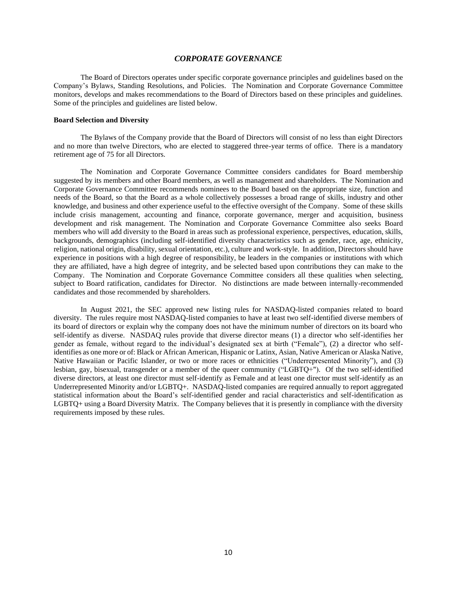#### *CORPORATE GOVERNANCE*

The Board of Directors operates under specific corporate governance principles and guidelines based on the Company's Bylaws, Standing Resolutions, and Policies. The Nomination and Corporate Governance Committee monitors, develops and makes recommendations to the Board of Directors based on these principles and guidelines. Some of the principles and guidelines are listed below.

#### **Board Selection and Diversity**

The Bylaws of the Company provide that the Board of Directors will consist of no less than eight Directors and no more than twelve Directors, who are elected to staggered three-year terms of office. There is a mandatory retirement age of 75 for all Directors.

The Nomination and Corporate Governance Committee considers candidates for Board membership suggested by its members and other Board members, as well as management and shareholders. The Nomination and Corporate Governance Committee recommends nominees to the Board based on the appropriate size, function and needs of the Board, so that the Board as a whole collectively possesses a broad range of skills, industry and other knowledge, and business and other experience useful to the effective oversight of the Company. Some of these skills include crisis management, accounting and finance, corporate governance, merger and acquisition, business development and risk management. The Nomination and Corporate Governance Committee also seeks Board members who will add diversity to the Board in areas such as professional experience, perspectives, education, skills, backgrounds, demographics (including self-identified diversity characteristics such as gender, race, age, ethnicity, religion, national origin, disability, sexual orientation, etc.), culture and work-style. In addition, Directors should have experience in positions with a high degree of responsibility, be leaders in the companies or institutions with which they are affiliated, have a high degree of integrity, and be selected based upon contributions they can make to the Company. The Nomination and Corporate Governance Committee considers all these qualities when selecting, subject to Board ratification, candidates for Director. No distinctions are made between internally-recommended candidates and those recommended by shareholders.

In August 2021, the SEC approved new listing rules for NASDAQ-listed companies related to board diversity. The rules require most NASDAQ-listed companies to have at least two self-identified diverse members of its board of directors or explain why the company does not have the minimum number of directors on its board who self-identify as diverse. NASDAQ rules provide that diverse director means (1) a director who self-identifies her gender as female, without regard to the individual's designated sex at birth ("Female"), (2) a director who selfidentifies as one more or of: Black or African American, Hispanic or Latinx, Asian, Native American or Alaska Native, Native Hawaiian or Pacific Islander, or two or more races or ethnicities ("Underrepresented Minority"), and (3) lesbian, gay, bisexual, transgender or a member of the queer community ("LGBTQ+"). Of the two self-identified diverse directors, at least one director must self-identify as Female and at least one director must self-identify as an Underrepresented Minority and/or LGBTQ+. NASDAQ-listed companies are required annually to report aggregated statistical information about the Board's self-identified gender and racial characteristics and self-identification as LGBTQ+ using a Board Diversity Matrix. The Company believes that it is presently in compliance with the diversity requirements imposed by these rules.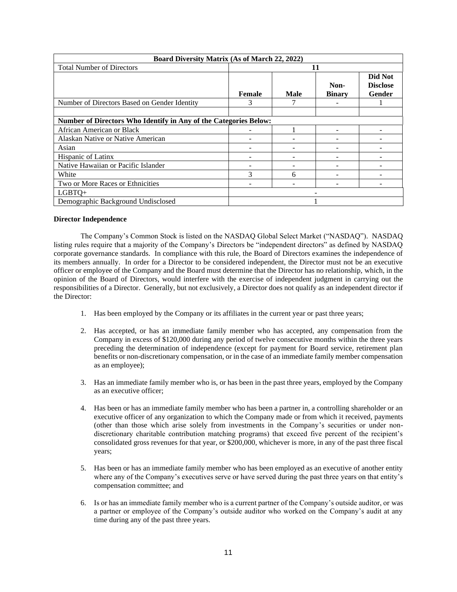| <b>Board Diversity Matrix (As of March 22, 2022)</b>             |               |             |               |                            |  |
|------------------------------------------------------------------|---------------|-------------|---------------|----------------------------|--|
| <b>Total Number of Directors</b>                                 | 11            |             |               |                            |  |
|                                                                  |               |             | Non-          | Did Not<br><b>Disclose</b> |  |
|                                                                  | <b>Female</b> | <b>Male</b> | <b>Binary</b> | Gender                     |  |
| Number of Directors Based on Gender Identity                     | 3             |             |               |                            |  |
|                                                                  |               |             |               |                            |  |
| Number of Directors Who Identify in Any of the Categories Below: |               |             |               |                            |  |
| African American or Black                                        |               |             |               |                            |  |
| Alaskan Native or Native American                                |               |             |               |                            |  |
| Asian                                                            |               |             |               |                            |  |
| Hispanic of Latinx                                               |               |             |               |                            |  |
| Native Hawaiian or Pacific Islander                              |               |             |               |                            |  |
| White                                                            | 3             | 6           |               |                            |  |
| Two or More Races or Ethnicities                                 |               |             |               |                            |  |
| LGBTQ+                                                           |               |             |               |                            |  |
| Demographic Background Undisclosed                               |               |             |               |                            |  |

#### **Director Independence**

The Company's Common Stock is listed on the NASDAQ Global Select Market ("NASDAQ"). NASDAQ listing rules require that a majority of the Company's Directors be "independent directors" as defined by NASDAQ corporate governance standards. In compliance with this rule, the Board of Directors examines the independence of its members annually. In order for a Director to be considered independent, the Director must not be an executive officer or employee of the Company and the Board must determine that the Director has no relationship, which, in the opinion of the Board of Directors, would interfere with the exercise of independent judgment in carrying out the responsibilities of a Director. Generally, but not exclusively, a Director does not qualify as an independent director if the Director:

- 1. Has been employed by the Company or its affiliates in the current year or past three years;
- 2. Has accepted, or has an immediate family member who has accepted, any compensation from the Company in excess of \$120,000 during any period of twelve consecutive months within the three years preceding the determination of independence (except for payment for Board service, retirement plan benefits or non-discretionary compensation, or in the case of an immediate family member compensation as an employee);
- 3. Has an immediate family member who is, or has been in the past three years, employed by the Company as an executive officer;
- 4. Has been or has an immediate family member who has been a partner in, a controlling shareholder or an executive officer of any organization to which the Company made or from which it received, payments (other than those which arise solely from investments in the Company's securities or under nondiscretionary charitable contribution matching programs) that exceed five percent of the recipient's consolidated gross revenues for that year, or \$200,000, whichever is more, in any of the past three fiscal years;
- 5. Has been or has an immediate family member who has been employed as an executive of another entity where any of the Company's executives serve or have served during the past three years on that entity's compensation committee; and
- 6. Is or has an immediate family member who is a current partner of the Company's outside auditor, or was a partner or employee of the Company's outside auditor who worked on the Company's audit at any time during any of the past three years.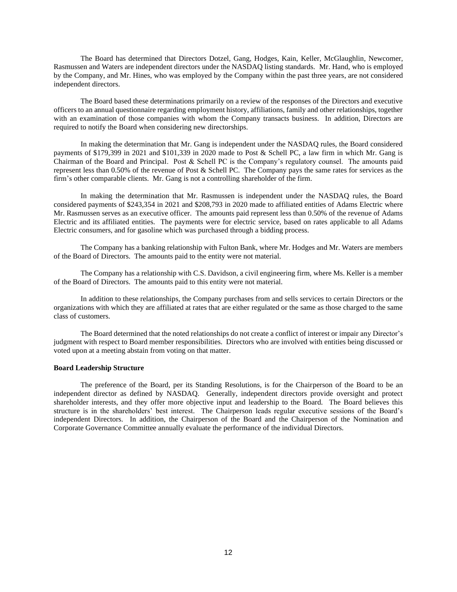The Board has determined that Directors Dotzel, Gang, Hodges, Kain, Keller, McGlaughlin, Newcomer, Rasmussen and Waters are independent directors under the NASDAQ listing standards. Mr. Hand, who is employed by the Company, and Mr. Hines, who was employed by the Company within the past three years, are not considered independent directors.

The Board based these determinations primarily on a review of the responses of the Directors and executive officers to an annual questionnaire regarding employment history, affiliations, family and other relationships, together with an examination of those companies with whom the Company transacts business. In addition, Directors are required to notify the Board when considering new directorships.

In making the determination that Mr. Gang is independent under the NASDAQ rules, the Board considered payments of \$179,399 in 2021 and \$101,339 in 2020 made to Post & Schell PC, a law firm in which Mr. Gang is Chairman of the Board and Principal. Post & Schell PC is the Company's regulatory counsel. The amounts paid represent less than 0.50% of the revenue of Post & Schell PC. The Company pays the same rates for services as the firm's other comparable clients. Mr. Gang is not a controlling shareholder of the firm.

In making the determination that Mr. Rasmussen is independent under the NASDAQ rules, the Board considered payments of \$243,354 in 2021 and \$208,793 in 2020 made to affiliated entities of Adams Electric where Mr. Rasmussen serves as an executive officer. The amounts paid represent less than 0.50% of the revenue of Adams Electric and its affiliated entities. The payments were for electric service, based on rates applicable to all Adams Electric consumers, and for gasoline which was purchased through a bidding process.

The Company has a banking relationship with Fulton Bank, where Mr. Hodges and Mr. Waters are members of the Board of Directors. The amounts paid to the entity were not material.

The Company has a relationship with C.S. Davidson, a civil engineering firm, where Ms. Keller is a member of the Board of Directors. The amounts paid to this entity were not material.

In addition to these relationships, the Company purchases from and sells services to certain Directors or the organizations with which they are affiliated at rates that are either regulated or the same as those charged to the same class of customers.

The Board determined that the noted relationships do not create a conflict of interest or impair any Director's judgment with respect to Board member responsibilities. Directors who are involved with entities being discussed or voted upon at a meeting abstain from voting on that matter.

#### **Board Leadership Structure**

The preference of the Board, per its Standing Resolutions, is for the Chairperson of the Board to be an independent director as defined by NASDAQ. Generally, independent directors provide oversight and protect shareholder interests, and they offer more objective input and leadership to the Board. The Board believes this structure is in the shareholders' best interest. The Chairperson leads regular executive sessions of the Board's independent Directors. In addition, the Chairperson of the Board and the Chairperson of the Nomination and Corporate Governance Committee annually evaluate the performance of the individual Directors.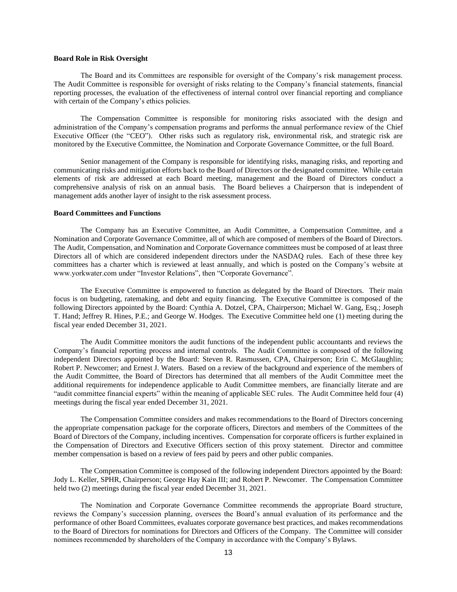### **Board Role in Risk Oversight**

The Board and its Committees are responsible for oversight of the Company's risk management process. The Audit Committee is responsible for oversight of risks relating to the Company's financial statements, financial reporting processes, the evaluation of the effectiveness of internal control over financial reporting and compliance with certain of the Company's ethics policies.

The Compensation Committee is responsible for monitoring risks associated with the design and administration of the Company's compensation programs and performs the annual performance review of the Chief Executive Officer (the "CEO"). Other risks such as regulatory risk, environmental risk, and strategic risk are monitored by the Executive Committee, the Nomination and Corporate Governance Committee, or the full Board.

Senior management of the Company is responsible for identifying risks, managing risks, and reporting and communicating risks and mitigation efforts back to the Board of Directors or the designated committee. While certain elements of risk are addressed at each Board meeting, management and the Board of Directors conduct a comprehensive analysis of risk on an annual basis. The Board believes a Chairperson that is independent of management adds another layer of insight to the risk assessment process.

#### **Board Committees and Functions**

The Company has an Executive Committee, an Audit Committee, a Compensation Committee, and a Nomination and Corporate Governance Committee, all of which are composed of members of the Board of Directors. The Audit, Compensation, and Nomination and Corporate Governance committees must be composed of at least three Directors all of which are considered independent directors under the NASDAQ rules. Each of these three key committees has a charter which is reviewed at least annually, and which is posted on the Company's website at www.yorkwater.com under "Investor Relations", then "Corporate Governance".

The Executive Committee is empowered to function as delegated by the Board of Directors. Their main focus is on budgeting, ratemaking, and debt and equity financing. The Executive Committee is composed of the following Directors appointed by the Board: Cynthia A. Dotzel, CPA, Chairperson; Michael W. Gang, Esq.; Joseph T. Hand; Jeffrey R. Hines, P.E.; and George W. Hodges. The Executive Committee held one (1) meeting during the fiscal year ended December 31, 2021.

The Audit Committee monitors the audit functions of the independent public accountants and reviews the Company's financial reporting process and internal controls. The Audit Committee is composed of the following independent Directors appointed by the Board: Steven R. Rasmussen, CPA, Chairperson; Erin C. McGlaughlin; Robert P. Newcomer; and Ernest J. Waters. Based on a review of the background and experience of the members of the Audit Committee, the Board of Directors has determined that all members of the Audit Committee meet the additional requirements for independence applicable to Audit Committee members, are financially literate and are "audit committee financial experts" within the meaning of applicable SEC rules. The Audit Committee held four (4) meetings during the fiscal year ended December 31, 2021.

The Compensation Committee considers and makes recommendations to the Board of Directors concerning the appropriate compensation package for the corporate officers, Directors and members of the Committees of the Board of Directors of the Company, including incentives. Compensation for corporate officers is further explained in the Compensation of Directors and Executive Officers section of this proxy statement. Director and committee member compensation is based on a review of fees paid by peers and other public companies.

The Compensation Committee is composed of the following independent Directors appointed by the Board: Jody L. Keller, SPHR, Chairperson; George Hay Kain III; and Robert P. Newcomer. The Compensation Committee held two (2) meetings during the fiscal year ended December 31, 2021.

The Nomination and Corporate Governance Committee recommends the appropriate Board structure, reviews the Company's succession planning, oversees the Board's annual evaluation of its performance and the performance of other Board Committees, evaluates corporate governance best practices, and makes recommendations to the Board of Directors for nominations for Directors and Officers of the Company. The Committee will consider nominees recommended by shareholders of the Company in accordance with the Company's Bylaws.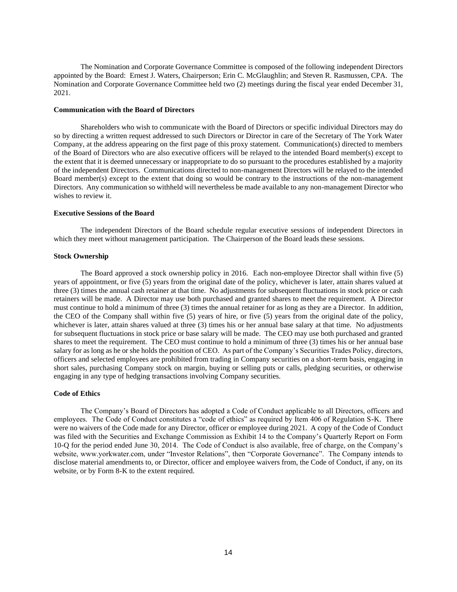The Nomination and Corporate Governance Committee is composed of the following independent Directors appointed by the Board: Ernest J. Waters, Chairperson; Erin C. McGlaughlin; and Steven R. Rasmussen, CPA. The Nomination and Corporate Governance Committee held two (2) meetings during the fiscal year ended December 31, 2021.

#### **Communication with the Board of Directors**

Shareholders who wish to communicate with the Board of Directors or specific individual Directors may do so by directing a written request addressed to such Directors or Director in care of the Secretary of The York Water Company, at the address appearing on the first page of this proxy statement. Communication(s) directed to members of the Board of Directors who are also executive officers will be relayed to the intended Board member(s) except to the extent that it is deemed unnecessary or inappropriate to do so pursuant to the procedures established by a majority of the independent Directors. Communications directed to non-management Directors will be relayed to the intended Board member(s) except to the extent that doing so would be contrary to the instructions of the non-management Directors. Any communication so withheld will nevertheless be made available to any non-management Director who wishes to review it.

#### **Executive Sessions of the Board**

The independent Directors of the Board schedule regular executive sessions of independent Directors in which they meet without management participation. The Chairperson of the Board leads these sessions.

#### **Stock Ownership**

The Board approved a stock ownership policy in 2016. Each non-employee Director shall within five (5) years of appointment, or five (5) years from the original date of the policy, whichever is later, attain shares valued at three (3) times the annual cash retainer at that time. No adjustments for subsequent fluctuations in stock price or cash retainers will be made. A Director may use both purchased and granted shares to meet the requirement. A Director must continue to hold a minimum of three (3) times the annual retainer for as long as they are a Director. In addition, the CEO of the Company shall within five (5) years of hire, or five (5) years from the original date of the policy, whichever is later, attain shares valued at three (3) times his or her annual base salary at that time. No adjustments for subsequent fluctuations in stock price or base salary will be made. The CEO may use both purchased and granted shares to meet the requirement. The CEO must continue to hold a minimum of three (3) times his or her annual base salary for as long as he or she holds the position of CEO. As part of the Company's Securities Trades Policy, directors, officers and selected employees are prohibited from trading in Company securities on a short-term basis, engaging in short sales, purchasing Company stock on margin, buying or selling puts or calls, pledging securities, or otherwise engaging in any type of hedging transactions involving Company securities.

#### **Code of Ethics**

The Company's Board of Directors has adopted a Code of Conduct applicable to all Directors, officers and employees. The Code of Conduct constitutes a "code of ethics" as required by Item 406 of Regulation S-K. There were no waivers of the Code made for any Director, officer or employee during 2021. A copy of the Code of Conduct was filed with the Securities and Exchange Commission as Exhibit 14 to the Company's Quarterly Report on Form 10-Q for the period ended June 30, 2014. The Code of Conduct is also available, free of charge, on the Company's website, www.yorkwater.com, under "Investor Relations", then "Corporate Governance". The Company intends to disclose material amendments to, or Director, officer and employee waivers from, the Code of Conduct, if any, on its website, or by Form 8-K to the extent required.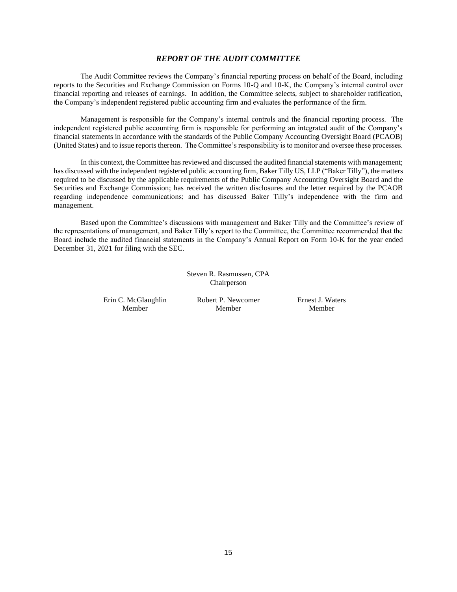### *REPORT OF THE AUDIT COMMITTEE*

The Audit Committee reviews the Company's financial reporting process on behalf of the Board, including reports to the Securities and Exchange Commission on Forms 10-Q and 10-K, the Company's internal control over financial reporting and releases of earnings. In addition, the Committee selects, subject to shareholder ratification, the Company's independent registered public accounting firm and evaluates the performance of the firm.

Management is responsible for the Company's internal controls and the financial reporting process. The independent registered public accounting firm is responsible for performing an integrated audit of the Company's financial statements in accordance with the standards of the Public Company Accounting Oversight Board (PCAOB) (United States) and to issue reports thereon. The Committee's responsibility is to monitor and oversee these processes.

In this context, the Committee has reviewed and discussed the audited financial statements with management; has discussed with the independent registered public accounting firm, Baker Tilly US, LLP ("Baker Tilly"), the matters required to be discussed by the applicable requirements of the Public Company Accounting Oversight Board and the Securities and Exchange Commission; has received the written disclosures and the letter required by the PCAOB regarding independence communications; and has discussed Baker Tilly's independence with the firm and management.

Based upon the Committee's discussions with management and Baker Tilly and the Committee's review of the representations of management, and Baker Tilly's report to the Committee, the Committee recommended that the Board include the audited financial statements in the Company's Annual Report on Form 10-K for the year ended December 31, 2021 for filing with the SEC.

> Steven R. Rasmussen, CPA Chairperson

Erin C. McGlaughlin Member

Robert P. Newcomer Member

Ernest J. Waters Member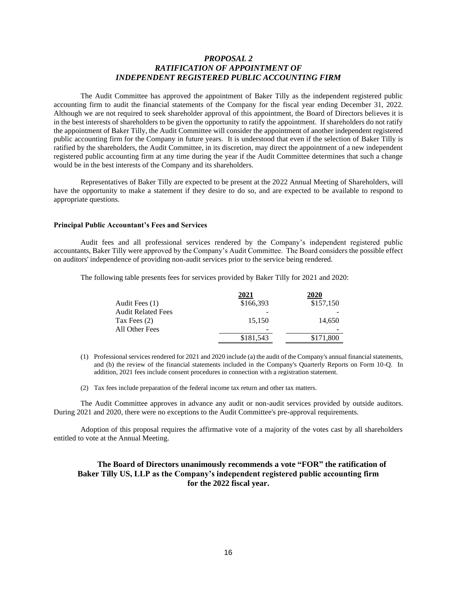# *PROPOSAL 2 RATIFICATION OF APPOINTMENT OF INDEPENDENT REGISTERED PUBLIC ACCOUNTING FIRM*

The Audit Committee has approved the appointment of Baker Tilly as the independent registered public accounting firm to audit the financial statements of the Company for the fiscal year ending December 31, 2022. Although we are not required to seek shareholder approval of this appointment, the Board of Directors believes it is in the best interests of shareholders to be given the opportunity to ratify the appointment. If shareholders do not ratify the appointment of Baker Tilly, the Audit Committee will consider the appointment of another independent registered public accounting firm for the Company in future years. It is understood that even if the selection of Baker Tilly is ratified by the shareholders, the Audit Committee, in its discretion, may direct the appointment of a new independent registered public accounting firm at any time during the year if the Audit Committee determines that such a change would be in the best interests of the Company and its shareholders.

Representatives of Baker Tilly are expected to be present at the 2022 Annual Meeting of Shareholders, will have the opportunity to make a statement if they desire to do so, and are expected to be available to respond to appropriate questions.

#### **Principal Public Accountant's Fees and Services**

Audit fees and all professional services rendered by the Company's independent registered public accountants, Baker Tilly were approved by the Company's Audit Committee. The Board considers the possible effect on auditors' independence of providing non-audit services prior to the service being rendered.

The following table presents fees for services provided by Baker Tilly for 2021 and 2020:

|                           | 2021      | 2020      |
|---------------------------|-----------|-----------|
| Audit Fees (1)            | \$166,393 | \$157,150 |
| <b>Audit Related Fees</b> |           |           |
| Tax Fees $(2)$            | 15,150    | 14,650    |
| All Other Fees            |           |           |
|                           | \$181,543 | \$171,800 |

- (1) Professional services rendered for 2021 and 2020 include (a) the audit of the Company's annual financial statements, and (b) the review of the financial statements included in the Company's Quarterly Reports on Form 10-Q. In addition, 2021 fees include consent procedures in connection with a registration statement.
- (2) Tax fees include preparation of the federal income tax return and other tax matters.

The Audit Committee approves in advance any audit or non-audit services provided by outside auditors. During 2021 and 2020, there were no exceptions to the Audit Committee's pre-approval requirements.

Adoption of this proposal requires the affirmative vote of a majority of the votes cast by all shareholders entitled to vote at the Annual Meeting.

# **The Board of Directors unanimously recommends a vote "FOR" the ratification of Baker Tilly US, LLP as the Company's independent registered public accounting firm for the 2022 fiscal year.**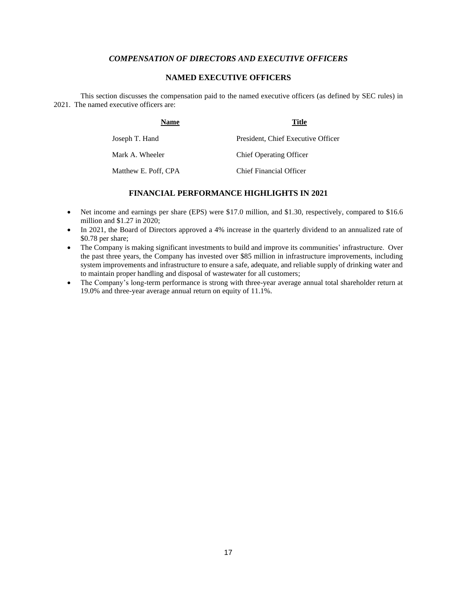# *COMPENSATION OF DIRECTORS AND EXECUTIVE OFFICERS*

# **NAMED EXECUTIVE OFFICERS**

This section discusses the compensation paid to the named executive officers (as defined by SEC rules) in 2021. The named executive officers are:

| Name                 | Title                              |
|----------------------|------------------------------------|
| Joseph T. Hand       | President, Chief Executive Officer |
| Mark A. Wheeler      | <b>Chief Operating Officer</b>     |
| Matthew E. Poff, CPA | Chief Financial Officer            |

# **FINANCIAL PERFORMANCE HIGHLIGHTS IN 2021**

- Net income and earnings per share (EPS) were \$17.0 million, and \$1.30, respectively, compared to \$16.6 million and \$1.27 in 2020;
- In 2021, the Board of Directors approved a 4% increase in the quarterly dividend to an annualized rate of \$0.78 per share;
- The Company is making significant investments to build and improve its communities' infrastructure. Over the past three years, the Company has invested over \$85 million in infrastructure improvements, including system improvements and infrastructure to ensure a safe, adequate, and reliable supply of drinking water and to maintain proper handling and disposal of wastewater for all customers;
- The Company's long-term performance is strong with three-year average annual total shareholder return at 19.0% and three-year average annual return on equity of 11.1%.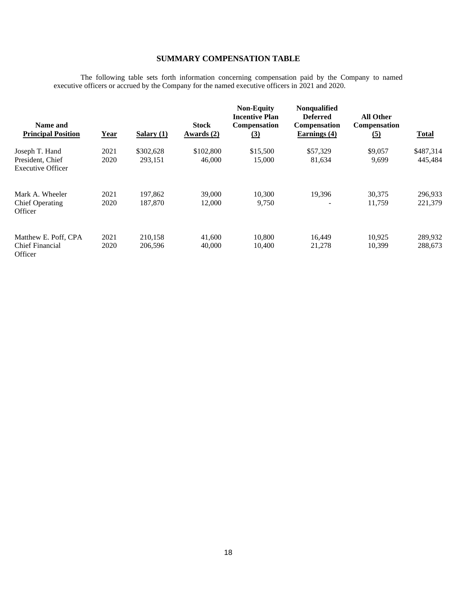# **SUMMARY COMPENSATION TABLE**

The following table sets forth information concerning compensation paid by the Company to named executive officers or accrued by the Company for the named executive officers in 2021 and 2020.

| Name and<br><b>Principal Position</b>        | <u>Year</u> | Salary $(1)$ | <b>Stock</b><br><u>Awards (2)</u> | <b>Non-Equity</b><br><b>Incentive Plan</b><br><b>Compensation</b><br><u>(3)</u> | <b>Nonqualified</b><br><b>Deferred</b><br><b>Compensation</b><br>Earnings (4) | <b>All Other</b><br>Compensation<br><u>(5)</u> | <b>Total</b> |
|----------------------------------------------|-------------|--------------|-----------------------------------|---------------------------------------------------------------------------------|-------------------------------------------------------------------------------|------------------------------------------------|--------------|
| Joseph T. Hand                               | 2021        | \$302,628    | \$102,800                         | \$15,500                                                                        | \$57,329                                                                      | \$9,057                                        | \$487,314    |
| President, Chief<br><b>Executive Officer</b> | 2020        | 293.151      | 46,000                            | 15,000                                                                          | 81,634                                                                        | 9,699                                          | 445,484      |
| Mark A. Wheeler                              | 2021        | 197,862      | 39,000                            | 10.300                                                                          | 19.396                                                                        | 30,375                                         | 296.933      |
| <b>Chief Operating</b><br>Officer            | 2020        | 187,870      | 12,000                            | 9,750                                                                           | $\overline{\phantom{a}}$                                                      | 11,759                                         | 221,379      |
| Matthew E. Poff, CPA                         | 2021        | 210,158      | 41,600                            | 10,800                                                                          | 16,449                                                                        | 10.925                                         | 289.932      |
| <b>Chief Financial</b><br>Officer            | 2020        | 206,596      | 40,000                            | 10,400                                                                          | 21,278                                                                        | 10,399                                         | 288,673      |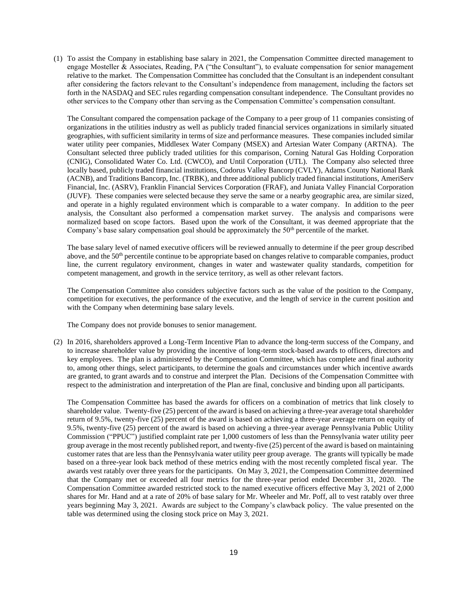(1) To assist the Company in establishing base salary in 2021, the Compensation Committee directed management to engage Mosteller & Associates, Reading, PA ("the Consultant"), to evaluate compensation for senior management relative to the market. The Compensation Committee has concluded that the Consultant is an independent consultant after considering the factors relevant to the Consultant's independence from management, including the factors set forth in the NASDAQ and SEC rules regarding compensation consultant independence. The Consultant provides no other services to the Company other than serving as the Compensation Committee's compensation consultant.

The Consultant compared the compensation package of the Company to a peer group of 11 companies consisting of organizations in the utilities industry as well as publicly traded financial services organizations in similarly situated geographies, with sufficient similarity in terms of size and performance measures. These companies included similar water utility peer companies, Middlesex Water Company (MSEX) and Artesian Water Company (ARTNA). The Consultant selected three publicly traded utilities for this comparison, Corning Natural Gas Holding Corporation (CNIG), Consolidated Water Co. Ltd. (CWCO), and Until Corporation (UTL). The Company also selected three locally based, publicly traded financial institutions, Codorus Valley Bancorp (CVLY), Adams County National Bank (ACNB), and Traditions Bancorp, Inc. (TRBK), and three additional publicly traded financial institutions, AmeriServ Financial, Inc. (ASRV), Franklin Financial Services Corporation (FRAF), and Juniata Valley Financial Corporation (JUVF). These companies were selected because they serve the same or a nearby geographic area, are similar sized, and operate in a highly regulated environment which is comparable to a water company. In addition to the peer analysis, the Consultant also performed a compensation market survey. The analysis and comparisons were normalized based on scope factors. Based upon the work of the Consultant, it was deemed appropriate that the Company's base salary compensation goal should be approximately the 50<sup>th</sup> percentile of the market.

The base salary level of named executive officers will be reviewed annually to determine if the peer group described above, and the  $50<sup>th</sup>$  percentile continue to be appropriate based on changes relative to comparable companies, product line, the current regulatory environment, changes in water and wastewater quality standards, competition for competent management, and growth in the service territory, as well as other relevant factors.

The Compensation Committee also considers subjective factors such as the value of the position to the Company, competition for executives, the performance of the executive, and the length of service in the current position and with the Company when determining base salary levels.

The Company does not provide bonuses to senior management.

(2) In 2016, shareholders approved a Long-Term Incentive Plan to advance the long-term success of the Company, and to increase shareholder value by providing the incentive of long-term stock-based awards to officers, directors and key employees. The plan is administered by the Compensation Committee, which has complete and final authority to, among other things, select participants, to determine the goals and circumstances under which incentive awards are granted, to grant awards and to construe and interpret the Plan. Decisions of the Compensation Committee with respect to the administration and interpretation of the Plan are final, conclusive and binding upon all participants.

The Compensation Committee has based the awards for officers on a combination of metrics that link closely to shareholder value. Twenty-five (25) percent of the award is based on achieving a three-year average total shareholder return of 9.5%, twenty-five (25) percent of the award is based on achieving a three-year average return on equity of 9.5%, twenty-five (25) percent of the award is based on achieving a three-year average Pennsylvania Public Utility Commission ("PPUC") justified complaint rate per 1,000 customers of less than the Pennsylvania water utility peer group average in the most recently published report, and twenty-five (25) percent of the award is based on maintaining customer rates that are less than the Pennsylvania water utility peer group average. The grants will typically be made based on a three-year look back method of these metrics ending with the most recently completed fiscal year. The awards vest ratably over three years for the participants. On May 3, 2021, the Compensation Committee determined that the Company met or exceeded all four metrics for the three-year period ended December 31, 2020. The Compensation Committee awarded restricted stock to the named executive officers effective May 3, 2021 of 2,000 shares for Mr. Hand and at a rate of 20% of base salary for Mr. Wheeler and Mr. Poff, all to vest ratably over three years beginning May 3, 2021. Awards are subject to the Company's clawback policy. The value presented on the table was determined using the closing stock price on May 3, 2021.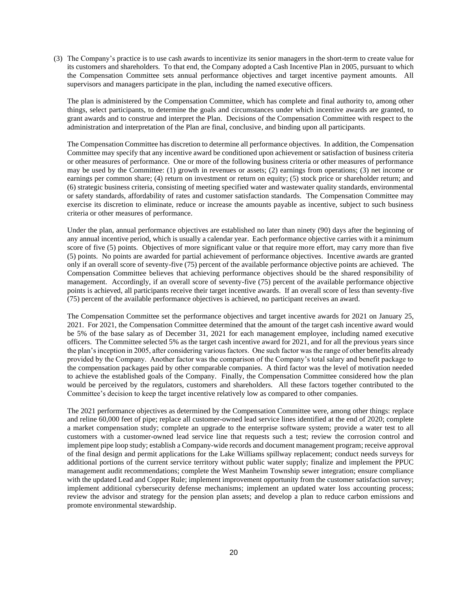(3) The Company's practice is to use cash awards to incentivize its senior managers in the short-term to create value for its customers and shareholders. To that end, the Company adopted a Cash Incentive Plan in 2005, pursuant to which the Compensation Committee sets annual performance objectives and target incentive payment amounts. All supervisors and managers participate in the plan, including the named executive officers.

The plan is administered by the Compensation Committee, which has complete and final authority to, among other things, select participants, to determine the goals and circumstances under which incentive awards are granted, to grant awards and to construe and interpret the Plan. Decisions of the Compensation Committee with respect to the administration and interpretation of the Plan are final, conclusive, and binding upon all participants.

The Compensation Committee has discretion to determine all performance objectives. In addition, the Compensation Committee may specify that any incentive award be conditioned upon achievement or satisfaction of business criteria or other measures of performance. One or more of the following business criteria or other measures of performance may be used by the Committee: (1) growth in revenues or assets; (2) earnings from operations; (3) net income or earnings per common share; (4) return on investment or return on equity; (5) stock price or shareholder return; and (6) strategic business criteria, consisting of meeting specified water and wastewater quality standards, environmental or safety standards, affordability of rates and customer satisfaction standards. The Compensation Committee may exercise its discretion to eliminate, reduce or increase the amounts payable as incentive, subject to such business criteria or other measures of performance.

Under the plan, annual performance objectives are established no later than ninety (90) days after the beginning of any annual incentive period, which is usually a calendar year. Each performance objective carries with it a minimum score of five (5) points. Objectives of more significant value or that require more effort, may carry more than five (5) points. No points are awarded for partial achievement of performance objectives. Incentive awards are granted only if an overall score of seventy-five (75) percent of the available performance objective points are achieved. The Compensation Committee believes that achieving performance objectives should be the shared responsibility of management. Accordingly, if an overall score of seventy-five (75) percent of the available performance objective points is achieved, all participants receive their target incentive awards. If an overall score of less than seventy-five (75) percent of the available performance objectives is achieved, no participant receives an award.

The Compensation Committee set the performance objectives and target incentive awards for 2021 on January 25, 2021. For 2021, the Compensation Committee determined that the amount of the target cash incentive award would be 5% of the base salary as of December 31, 2021 for each management employee, including named executive officers. The Committee selected 5% as the target cash incentive award for 2021, and for all the previous years since the plan's inception in 2005, after considering various factors. One such factor was the range of other benefits already provided by the Company. Another factor was the comparison of the Company's total salary and benefit package to the compensation packages paid by other comparable companies. A third factor was the level of motivation needed to achieve the established goals of the Company. Finally, the Compensation Committee considered how the plan would be perceived by the regulators, customers and shareholders. All these factors together contributed to the Committee's decision to keep the target incentive relatively low as compared to other companies.

The 2021 performance objectives as determined by the Compensation Committee were, among other things: replace and reline 60,000 feet of pipe; replace all customer-owned lead service lines identified at the end of 2020; complete a market compensation study; complete an upgrade to the enterprise software system; provide a water test to all customers with a customer-owned lead service line that requests such a test; review the corrosion control and implement pipe loop study; establish a Company-wide records and document management program; receive approval of the final design and permit applications for the Lake Williams spillway replacement; conduct needs surveys for additional portions of the current service territory without public water supply; finalize and implement the PPUC management audit recommendations; complete the West Manheim Township sewer integration; ensure compliance with the updated Lead and Copper Rule; implement improvement opportunity from the customer satisfaction survey; implement additional cybersecurity defense mechanisms; implement an updated water loss accounting process; review the advisor and strategy for the pension plan assets; and develop a plan to reduce carbon emissions and promote environmental stewardship.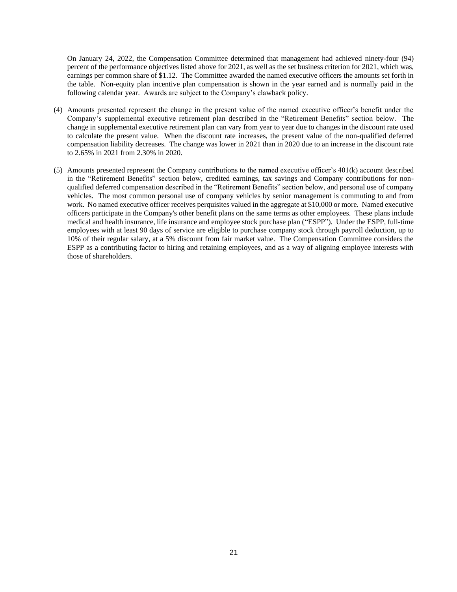On January 24, 2022, the Compensation Committee determined that management had achieved ninety-four (94) percent of the performance objectives listed above for 2021, as well as the set business criterion for 2021, which was, earnings per common share of \$1.12. The Committee awarded the named executive officers the amounts set forth in the table. Non-equity plan incentive plan compensation is shown in the year earned and is normally paid in the following calendar year. Awards are subject to the Company's clawback policy.

- (4) Amounts presented represent the change in the present value of the named executive officer's benefit under the Company's supplemental executive retirement plan described in the "Retirement Benefits" section below. The change in supplemental executive retirement plan can vary from year to year due to changes in the discount rate used to calculate the present value. When the discount rate increases, the present value of the non-qualified deferred compensation liability decreases. The change was lower in 2021 than in 2020 due to an increase in the discount rate to 2.65% in 2021 from 2.30% in 2020.
- (5) Amounts presented represent the Company contributions to the named executive officer's 401(k) account described in the "Retirement Benefits" section below, credited earnings, tax savings and Company contributions for nonqualified deferred compensation described in the "Retirement Benefits" section below, and personal use of company vehicles. The most common personal use of company vehicles by senior management is commuting to and from work. No named executive officer receives perquisites valued in the aggregate at \$10,000 or more. Named executive officers participate in the Company's other benefit plans on the same terms as other employees. These plans include medical and health insurance, life insurance and employee stock purchase plan ("ESPP"). Under the ESPP, full-time employees with at least 90 days of service are eligible to purchase company stock through payroll deduction, up to 10% of their regular salary, at a 5% discount from fair market value. The Compensation Committee considers the ESPP as a contributing factor to hiring and retaining employees, and as a way of aligning employee interests with those of shareholders.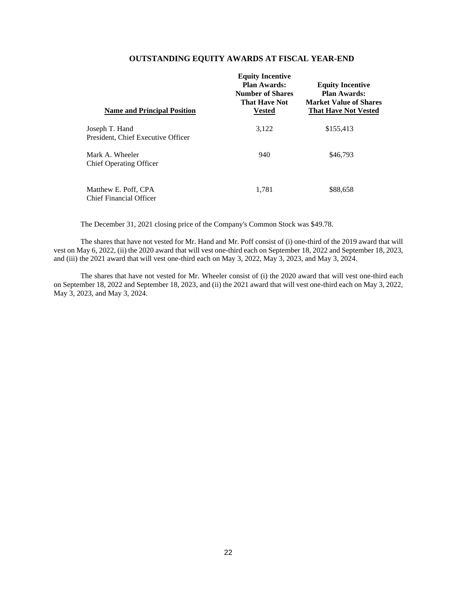# **OUTSTANDING EQUITY AWARDS AT FISCAL YEAR-END**

| <b>Name and Principal Position</b>                     | <b>Equity Incentive</b><br><b>Plan Awards:</b><br><b>Number of Shares</b><br><b>That Have Not</b><br><b>Vested</b> | <b>Equity Incentive</b><br><b>Plan Awards:</b><br><b>Market Value of Shares</b><br><b>That Have Not Vested</b> |
|--------------------------------------------------------|--------------------------------------------------------------------------------------------------------------------|----------------------------------------------------------------------------------------------------------------|
| Joseph T. Hand<br>President, Chief Executive Officer   | 3,122                                                                                                              | \$155,413                                                                                                      |
| Mark A. Wheeler<br><b>Chief Operating Officer</b>      | 940                                                                                                                | \$46,793                                                                                                       |
| Matthew E. Poff, CPA<br><b>Chief Financial Officer</b> | 1.781                                                                                                              | \$88,658                                                                                                       |

The December 31, 2021 closing price of the Company's Common Stock was \$49.78.

The shares that have not vested for Mr. Hand and Mr. Poff consist of (i) one-third of the 2019 award that will vest on May 6, 2022, (ii) the 2020 award that will vest one-third each on September 18, 2022 and September 18, 2023, and (iii) the 2021 award that will vest one-third each on May 3, 2022, May 3, 2023, and May 3, 2024.

The shares that have not vested for Mr. Wheeler consist of (i) the 2020 award that will vest one-third each on September 18, 2022 and September 18, 2023, and (ii) the 2021 award that will vest one-third each on May 3, 2022, May 3, 2023, and May 3, 2024.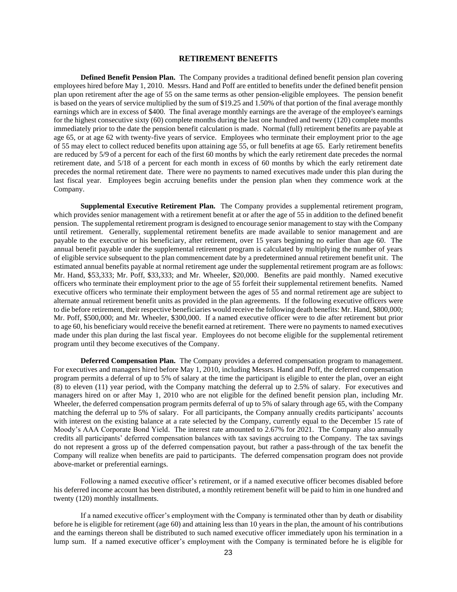#### **RETIREMENT BENEFITS**

**Defined Benefit Pension Plan.** The Company provides a traditional defined benefit pension plan covering employees hired before May 1, 2010. Messrs. Hand and Poff are entitled to benefits under the defined benefit pension plan upon retirement after the age of 55 on the same terms as other pension-eligible employees. The pension benefit is based on the years of service multiplied by the sum of \$19.25 and 1.50% of that portion of the final average monthly earnings which are in excess of \$400. The final average monthly earnings are the average of the employee's earnings for the highest consecutive sixty (60) complete months during the last one hundred and twenty (120) complete months immediately prior to the date the pension benefit calculation is made. Normal (full) retirement benefits are payable at age 65, or at age 62 with twenty-five years of service. Employees who terminate their employment prior to the age of 55 may elect to collect reduced benefits upon attaining age 55, or full benefits at age 65. Early retirement benefits are reduced by 5/9 of a percent for each of the first 60 months by which the early retirement date precedes the normal retirement date, and 5/18 of a percent for each month in excess of 60 months by which the early retirement date precedes the normal retirement date. There were no payments to named executives made under this plan during the last fiscal year. Employees begin accruing benefits under the pension plan when they commence work at the Company.

**Supplemental Executive Retirement Plan.** The Company provides a supplemental retirement program, which provides senior management with a retirement benefit at or after the age of 55 in addition to the defined benefit pension. The supplemental retirement program is designed to encourage senior management to stay with the Company until retirement. Generally, supplemental retirement benefits are made available to senior management and are payable to the executive or his beneficiary, after retirement, over 15 years beginning no earlier than age 60. The annual benefit payable under the supplemental retirement program is calculated by multiplying the number of years of eligible service subsequent to the plan commencement date by a predetermined annual retirement benefit unit. The estimated annual benefits payable at normal retirement age under the supplemental retirement program are as follows: Mr. Hand, \$53,333; Mr. Poff, \$33,333; and Mr. Wheeler, \$20,000. Benefits are paid monthly. Named executive officers who terminate their employment prior to the age of 55 forfeit their supplemental retirement benefits. Named executive officers who terminate their employment between the ages of 55 and normal retirement age are subject to alternate annual retirement benefit units as provided in the plan agreements. If the following executive officers were to die before retirement, their respective beneficiaries would receive the following death benefits: Mr. Hand, \$800,000; Mr. Poff, \$500,000; and Mr. Wheeler, \$300,000. If a named executive officer were to die after retirement but prior to age 60, his beneficiary would receive the benefit earned at retirement. There were no payments to named executives made under this plan during the last fiscal year. Employees do not become eligible for the supplemental retirement program until they become executives of the Company.

**Deferred Compensation Plan.** The Company provides a deferred compensation program to management. For executives and managers hired before May 1, 2010, including Messrs. Hand and Poff, the deferred compensation program permits a deferral of up to 5% of salary at the time the participant is eligible to enter the plan, over an eight (8) to eleven (11) year period, with the Company matching the deferral up to 2.5% of salary. For executives and managers hired on or after May 1, 2010 who are not eligible for the defined benefit pension plan, including Mr. Wheeler, the deferred compensation program permits deferral of up to 5% of salary through age 65, with the Company matching the deferral up to 5% of salary. For all participants, the Company annually credits participants' accounts with interest on the existing balance at a rate selected by the Company, currently equal to the December 15 rate of Moody's AAA Corporate Bond Yield. The interest rate amounted to 2.67% for 2021. The Company also annually credits all participants' deferred compensation balances with tax savings accruing to the Company. The tax savings do not represent a gross up of the deferred compensation payout, but rather a pass-through of the tax benefit the Company will realize when benefits are paid to participants. The deferred compensation program does not provide above-market or preferential earnings.

Following a named executive officer's retirement, or if a named executive officer becomes disabled before his deferred income account has been distributed, a monthly retirement benefit will be paid to him in one hundred and twenty (120) monthly installments.

If a named executive officer's employment with the Company is terminated other than by death or disability before he is eligible for retirement (age 60) and attaining less than 10 years in the plan, the amount of his contributions and the earnings thereon shall be distributed to such named executive officer immediately upon his termination in a lump sum. If a named executive officer's employment with the Company is terminated before he is eligible for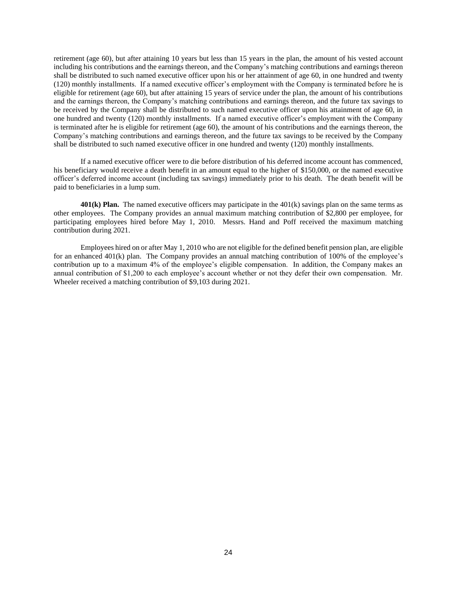retirement (age 60), but after attaining 10 years but less than 15 years in the plan, the amount of his vested account including his contributions and the earnings thereon, and the Company's matching contributions and earnings thereon shall be distributed to such named executive officer upon his or her attainment of age 60, in one hundred and twenty (120) monthly installments. If a named executive officer's employment with the Company is terminated before he is eligible for retirement (age 60), but after attaining 15 years of service under the plan, the amount of his contributions and the earnings thereon, the Company's matching contributions and earnings thereon, and the future tax savings to be received by the Company shall be distributed to such named executive officer upon his attainment of age 60, in one hundred and twenty (120) monthly installments. If a named executive officer's employment with the Company is terminated after he is eligible for retirement (age 60), the amount of his contributions and the earnings thereon, the Company's matching contributions and earnings thereon, and the future tax savings to be received by the Company shall be distributed to such named executive officer in one hundred and twenty (120) monthly installments.

If a named executive officer were to die before distribution of his deferred income account has commenced, his beneficiary would receive a death benefit in an amount equal to the higher of \$150,000, or the named executive officer's deferred income account (including tax savings) immediately prior to his death. The death benefit will be paid to beneficiaries in a lump sum.

**401(k) Plan.** The named executive officers may participate in the 401(k) savings plan on the same terms as other employees. The Company provides an annual maximum matching contribution of \$2,800 per employee, for participating employees hired before May 1, 2010. Messrs. Hand and Poff received the maximum matching contribution during 2021.

Employees hired on or after May 1, 2010 who are not eligible for the defined benefit pension plan, are eligible for an enhanced 401(k) plan. The Company provides an annual matching contribution of 100% of the employee's contribution up to a maximum 4% of the employee's eligible compensation. In addition, the Company makes an annual contribution of \$1,200 to each employee's account whether or not they defer their own compensation. Mr. Wheeler received a matching contribution of \$9,103 during 2021.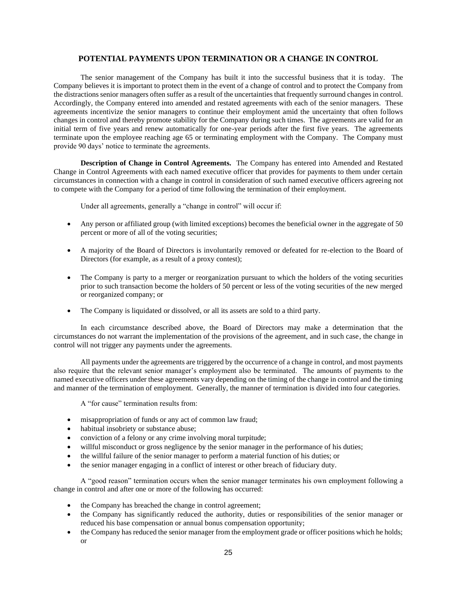## **POTENTIAL PAYMENTS UPON TERMINATION OR A CHANGE IN CONTROL**

The senior management of the Company has built it into the successful business that it is today. The Company believes it is important to protect them in the event of a change of control and to protect the Company from the distractions senior managers often suffer as a result of the uncertainties that frequently surround changes in control. Accordingly, the Company entered into amended and restated agreements with each of the senior managers. These agreements incentivize the senior managers to continue their employment amid the uncertainty that often follows changes in control and thereby promote stability for the Company during such times. The agreements are valid for an initial term of five years and renew automatically for one-year periods after the first five years. The agreements terminate upon the employee reaching age 65 or terminating employment with the Company. The Company must provide 90 days' notice to terminate the agreements.

**Description of Change in Control Agreements.** The Company has entered into Amended and Restated Change in Control Agreements with each named executive officer that provides for payments to them under certain circumstances in connection with a change in control in consideration of such named executive officers agreeing not to compete with the Company for a period of time following the termination of their employment.

Under all agreements, generally a "change in control" will occur if:

- Any person or affiliated group (with limited exceptions) becomes the beneficial owner in the aggregate of 50 percent or more of all of the voting securities;
- A majority of the Board of Directors is involuntarily removed or defeated for re-election to the Board of Directors (for example, as a result of a proxy contest);
- The Company is party to a merger or reorganization pursuant to which the holders of the voting securities prior to such transaction become the holders of 50 percent or less of the voting securities of the new merged or reorganized company; or
- The Company is liquidated or dissolved, or all its assets are sold to a third party.

In each circumstance described above, the Board of Directors may make a determination that the circumstances do not warrant the implementation of the provisions of the agreement, and in such case, the change in control will not trigger any payments under the agreements.

All payments under the agreements are triggered by the occurrence of a change in control, and most payments also require that the relevant senior manager's employment also be terminated. The amounts of payments to the named executive officers under these agreements vary depending on the timing of the change in control and the timing and manner of the termination of employment. Generally, the manner of termination is divided into four categories.

A "for cause" termination results from:

- misappropriation of funds or any act of common law fraud;
- habitual insobriety or substance abuse;
- conviction of a felony or any crime involving moral turpitude;
- willful misconduct or gross negligence by the senior manager in the performance of his duties;
- the willful failure of the senior manager to perform a material function of his duties; or
- the senior manager engaging in a conflict of interest or other breach of fiduciary duty.

A "good reason" termination occurs when the senior manager terminates his own employment following a change in control and after one or more of the following has occurred:

- the Company has breached the change in control agreement;
- the Company has significantly reduced the authority, duties or responsibilities of the senior manager or reduced his base compensation or annual bonus compensation opportunity;
- the Company has reduced the senior manager from the employment grade or officer positions which he holds; or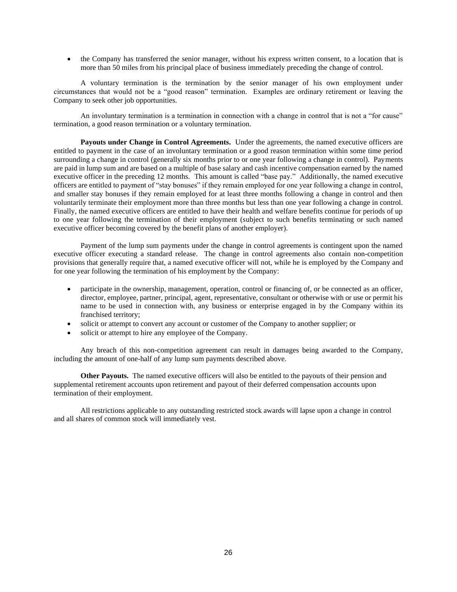• the Company has transferred the senior manager, without his express written consent, to a location that is more than 50 miles from his principal place of business immediately preceding the change of control.

A voluntary termination is the termination by the senior manager of his own employment under circumstances that would not be a "good reason" termination. Examples are ordinary retirement or leaving the Company to seek other job opportunities.

An involuntary termination is a termination in connection with a change in control that is not a "for cause" termination, a good reason termination or a voluntary termination.

**Payouts under Change in Control Agreements.** Under the agreements, the named executive officers are entitled to payment in the case of an involuntary termination or a good reason termination within some time period surrounding a change in control (generally six months prior to or one year following a change in control). Payments are paid in lump sum and are based on a multiple of base salary and cash incentive compensation earned by the named executive officer in the preceding 12 months. This amount is called "base pay." Additionally, the named executive officers are entitled to payment of "stay bonuses" if they remain employed for one year following a change in control, and smaller stay bonuses if they remain employed for at least three months following a change in control and then voluntarily terminate their employment more than three months but less than one year following a change in control. Finally, the named executive officers are entitled to have their health and welfare benefits continue for periods of up to one year following the termination of their employment (subject to such benefits terminating or such named executive officer becoming covered by the benefit plans of another employer).

Payment of the lump sum payments under the change in control agreements is contingent upon the named executive officer executing a standard release. The change in control agreements also contain non-competition provisions that generally require that, a named executive officer will not, while he is employed by the Company and for one year following the termination of his employment by the Company:

- participate in the ownership, management, operation, control or financing of, or be connected as an officer, director, employee, partner, principal, agent, representative, consultant or otherwise with or use or permit his name to be used in connection with, any business or enterprise engaged in by the Company within its franchised territory;
- solicit or attempt to convert any account or customer of the Company to another supplier; or
- solicit or attempt to hire any employee of the Company.

Any breach of this non-competition agreement can result in damages being awarded to the Company, including the amount of one-half of any lump sum payments described above.

**Other Payouts.** The named executive officers will also be entitled to the payouts of their pension and supplemental retirement accounts upon retirement and payout of their deferred compensation accounts upon termination of their employment.

All restrictions applicable to any outstanding restricted stock awards will lapse upon a change in control and all shares of common stock will immediately vest.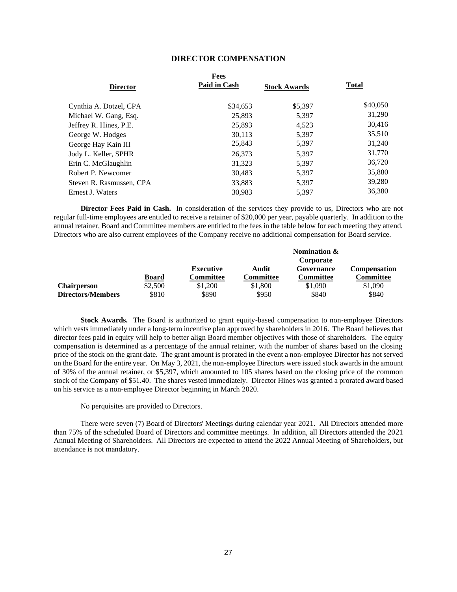## **DIRECTOR COMPENSATION**

|                          | Fees         |                     |              |
|--------------------------|--------------|---------------------|--------------|
| <b>Director</b>          | Paid in Cash | <b>Stock Awards</b> | <b>Total</b> |
| Cynthia A. Dotzel, CPA   | \$34,653     | \$5,397             | \$40,050     |
| Michael W. Gang, Esq.    | 25,893       | 5,397               | 31,290       |
| Jeffrey R. Hines, P.E.   | 25,893       | 4,523               | 30,416       |
| George W. Hodges         | 30.113       | 5.397               | 35,510       |
| George Hay Kain III      | 25,843       | 5,397               | 31,240       |
| Jody L. Keller, SPHR     | 26,373       | 5.397               | 31,770       |
| Erin C. McGlaughlin      | 31,323       | 5.397               | 36,720       |
| Robert P. Newcomer       | 30,483       | 5.397               | 35,880       |
| Steven R. Rasmussen, CPA | 33,883       | 5,397               | 39,280       |
| Ernest J. Waters         | 30.983       | 5.397               | 36.380       |
|                          |              |                     |              |

**Director Fees Paid in Cash.** In consideration of the services they provide to us, Directors who are not regular full-time employees are entitled to receive a retainer of \$20,000 per year, payable quarterly. In addition to the annual retainer, Board and Committee members are entitled to the fees in the table below for each meeting they attend. Directors who are also current employees of the Company receive no additional compensation for Board service.

|                    |         |           |                  | Nomination &            |                     |  |
|--------------------|---------|-----------|------------------|-------------------------|---------------------|--|
|                    |         | Executive | Audit            | Corporate<br>Governance | <b>Compensation</b> |  |
|                    | Board   | Committee | <b>Committee</b> | <b>Committee</b>        | <b>Committee</b>    |  |
| <b>Chairperson</b> | \$2,500 | \$1,200   | \$1,800          | \$1,090                 | \$1,090             |  |
| Directors/Members  | \$810   | \$890     | \$950            | \$840                   | \$840               |  |

**Stock Awards.** The Board is authorized to grant equity-based compensation to non-employee Directors which vests immediately under a long-term incentive plan approved by shareholders in 2016. The Board believes that director fees paid in equity will help to better align Board member objectives with those of shareholders. The equity compensation is determined as a percentage of the annual retainer, with the number of shares based on the closing price of the stock on the grant date. The grant amount is prorated in the event a non-employee Director has not served on the Board for the entire year. On May 3, 2021, the non-employee Directors were issued stock awards in the amount of 30% of the annual retainer, or \$5,397, which amounted to 105 shares based on the closing price of the common stock of the Company of \$51.40. The shares vested immediately. Director Hines was granted a prorated award based on his service as a non-employee Director beginning in March 2020.

No perquisites are provided to Directors.

There were seven (7) Board of Directors' Meetings during calendar year 2021. All Directors attended more than 75% of the scheduled Board of Directors and committee meetings. In addition, all Directors attended the 2021 Annual Meeting of Shareholders. All Directors are expected to attend the 2022 Annual Meeting of Shareholders, but attendance is not mandatory.